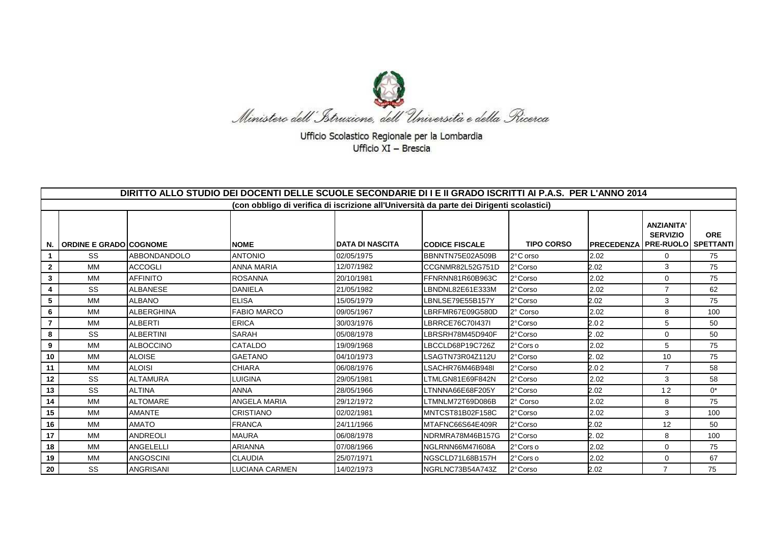

Ufficio Scolastico Regionale per la Lombardia Ufficio XI - Brescia

|                | DIRITTO ALLO STUDIO DEI DOCENTI DELLE SCUOLE SECONDARIE DI I E II GRADO ISCRITTI AI P.A.S. PER L'ANNO 2014 |                     |                                                                                          |                         |                       |                   |                                              |                                      |            |  |
|----------------|------------------------------------------------------------------------------------------------------------|---------------------|------------------------------------------------------------------------------------------|-------------------------|-----------------------|-------------------|----------------------------------------------|--------------------------------------|------------|--|
|                |                                                                                                            |                     | (con obbligo di verifica di iscrizione all'Università da parte dei Dirigenti scolastici) |                         |                       |                   |                                              |                                      |            |  |
| N.             | <b>ORDINE E GRADO COGNOME</b>                                                                              |                     | <b>NOME</b>                                                                              | <b>IDATA DI NASCITA</b> | <b>CODICE FISCALE</b> | <b>TIPO CORSO</b> | <b>IPRECEDENZA   PRE-RUOLO   SPETTANTI  </b> | <b>ANZIANITA'</b><br><b>SERVIZIO</b> | <b>ORE</b> |  |
|                | SS                                                                                                         | <b>ABBONDANDOLO</b> | <b>ANTONIO</b>                                                                           | 02/05/1975              | BBNNTN75E02A509B      | 2°C orso          | 2.02                                         | $\mathbf{0}$                         | 75         |  |
| $\mathbf{2}$   | MM                                                                                                         | <b>ACCOGLI</b>      | <b>ANNA MARIA</b>                                                                        | 12/07/1982              | CCGNMR82L52G751D      | 2°Corso           | 2.02                                         | 3                                    | 75         |  |
| 3              | MM                                                                                                         | <b>AFFINITO</b>     | <b>ROSANNA</b>                                                                           | 20/10/1981              | FFNRNN81R60B963C      | 2°Corso           | 2.02                                         | $\Omega$                             | 75         |  |
| 4              | SS                                                                                                         | <b>ALBANESE</b>     | <b>DANIELA</b>                                                                           | 21/05/1982              | LBNDNL82E61E333M      | 2°Corso           | 2.02                                         | $\overline{7}$                       | 62         |  |
| 5              | МM                                                                                                         | <b>ALBANO</b>       | <b>ELISA</b>                                                                             | 15/05/1979              | LBNLSE79E55B157Y      | 2°Corso           | 2.02                                         | 3                                    | 75         |  |
| 6              | МM                                                                                                         | <b>ALBERGHINA</b>   | <b>FABIO MARCO</b>                                                                       | 09/05/1967              | LBRFMR67E09G580D      | 2° Corso          | 2.02                                         | 8                                    | 100        |  |
| $\overline{7}$ | MM                                                                                                         | <b>ALBERTI</b>      | <b>ERICA</b>                                                                             | 30/03/1976              | LBRRCE76C70I437I      | 2° Corso          | 2.02                                         | 5                                    | 50         |  |
| 8              | SS                                                                                                         | <b>ALBERTINI</b>    | <b>SARAH</b>                                                                             | 05/08/1978              | LBRSRH78M45D940F      | 2°Corso           | 2.02                                         | $\mathbf 0$                          | 50         |  |
| 9              | MM                                                                                                         | <b>ALBOCCINO</b>    | CATALDO                                                                                  | 19/09/1968              | LBCCLD68P19C726Z      | 2° Cors o         | 2.02                                         | 5                                    | 75         |  |
| 10             | МM                                                                                                         | <b>ALOISE</b>       | <b>GAETANO</b>                                                                           | 04/10/1973              | LSAGTN73R04Z112U      | 2°Corso           | 2.02                                         | 10                                   | 75         |  |
| 11             | МM                                                                                                         | <b>ALOISI</b>       | <b>CHIARA</b>                                                                            | 06/08/1976              | LSACHR76M46B948I      | 2°Corso           | 2.02                                         | $\overline{7}$                       | 58         |  |
| 12             | SS                                                                                                         | <b>ALTAMURA</b>     | LUIGINA                                                                                  | 29/05/1981              | LTMLGN81E69F842N      | 2°Corso           | 2.02                                         | 3                                    | 58         |  |
| 13             | SS                                                                                                         | <b>ALTINA</b>       | <b>ANNA</b>                                                                              | 28/05/1966              | LTNNNA66E68F205Y      | 2°Corso           | 2.02                                         | 12                                   | $0^*$      |  |
| 14             | MM                                                                                                         | <b>ALTOMARE</b>     | <b>ANGELA MARIA</b>                                                                      | 29/12/1972              | LTMNLM72T69D086B      | 2° Corso          | 2.02                                         | 8                                    | 75         |  |
| 15             | МM                                                                                                         | <b>AMANTE</b>       | <b>CRISTIANO</b>                                                                         | 02/02/1981              | MNTCST81B02F158C      | 2°Corso           | 2.02                                         | 3                                    | 100        |  |
| 16             | МM                                                                                                         | <b>AMATO</b>        | <b>FRANCA</b>                                                                            | 24/11/1966              | MTAFNC66S64E409R      | 2°Corso           | 2.02                                         | 12                                   | 50         |  |
| 17             | МM                                                                                                         | <b>ANDREOLI</b>     | <b>MAURA</b>                                                                             | 06/08/1978              | NDRMRA78M46B157G      | 2°Corso           | 2.02                                         | 8                                    | 100        |  |
| 18             | МM                                                                                                         | <b>ANGELELLI</b>    | <b>ARIANNA</b>                                                                           | 07/08/1966              | NGLRNN66M47I608A      | 2°Cors o          | 2.02                                         | 0                                    | 75         |  |
| 19             | МM                                                                                                         | <b>ANGOSCINI</b>    | <b>CLAUDIA</b>                                                                           | 25/07/1971              | NGSCLD71L68B157H      | 2°Cors o          | 2.02                                         | 0                                    | 67         |  |
| 20             | SS                                                                                                         | <b>ANGRISANI</b>    | LUCIANA CARMEN                                                                           | 14/02/1973              | NGRLNC73B54A743Z      | 2°Corso           | 2.02                                         | $\overline{7}$                       | 75         |  |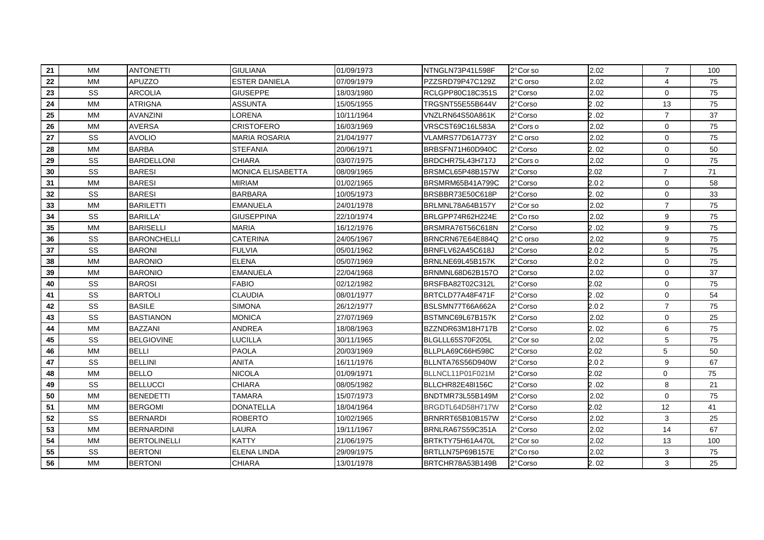| 21 | <b>MM</b> | <b>ANTONETTI</b>    | <b>GIULIANA</b>          | 01/09/1973 | NTNGLN73P41L598F | 2°Cor so | 2.02 | $\overline{7}$ | 100 |
|----|-----------|---------------------|--------------------------|------------|------------------|----------|------|----------------|-----|
| 22 | <b>MM</b> | APUZZO              | <b>ESTER DANIELA</b>     | 07/09/1979 | PZZSRD79P47C129Z | 2°C orso | 2.02 | $\overline{4}$ | 75  |
| 23 | SS        | <b>ARCOLIA</b>      | <b>GIUSEPPE</b>          | 18/03/1980 | RCLGPP80C18C351S | 2°Corso  | 2.02 | $\mathbf 0$    | 75  |
| 24 | <b>MM</b> | <b>ATRIGNA</b>      | <b>ASSUNTA</b>           | 15/05/1955 | TRGSNT55E55B644V | 2° Corso | 2.02 | 13             | 75  |
| 25 | <b>MM</b> | <b>AVANZINI</b>     | LORENA                   | 10/11/1964 | VNZLRN64S50A861K | 2°Corso  | 2.02 | $\overline{7}$ | 37  |
| 26 | <b>MM</b> | <b>AVERSA</b>       | <b>CRISTOFERO</b>        | 16/03/1969 | VRSCST69C16L583A | 2°Cors o | 2.02 | $\mathbf 0$    | 75  |
| 27 | SS        | <b>AVOLIO</b>       | <b>MARIA ROSARIA</b>     | 21/04/1977 | VLAMRS77D61A773Y | 2°C orso | 2.02 | 0              | 75  |
| 28 | <b>MM</b> | <b>BARBA</b>        | <b>STEFANIA</b>          | 20/06/1971 | BRBSFN71H60D940C | 2°Corso  | 2.02 | $\Omega$       | 50  |
| 29 | SS        | <b>BARDELLONI</b>   | <b>CHIARA</b>            | 03/07/1975 | BRDCHR75L43H717J | 2°Cors o | 2.02 | 0              | 75  |
| 30 | SS        | <b>BARESI</b>       | <b>MONICA ELISABETTA</b> | 08/09/1965 | BRSMCL65P48B157W | 2°Corso  | 2.02 | $\overline{7}$ | 71  |
| 31 | <b>MM</b> | <b>BARESI</b>       | <b>MIRIAM</b>            | 01/02/1965 | BRSMRM65B41A799C | 2°Corso  | 2.02 | $\mathbf 0$    | 58  |
| 32 | SS        | <b>BARESI</b>       | <b>BARBARA</b>           | 10/05/1973 | BRSBBR73E50C618P | 2°Corso  | 2.02 | 0              | 33  |
| 33 | <b>MM</b> | <b>BARILETTI</b>    | <b>EMANUELA</b>          | 24/01/1978 | BRLMNL78A64B157Y | 2°Corso  | 2.02 | $\overline{7}$ | 75  |
| 34 | SS        | <b>BARILLA'</b>     | <b>GIUSEPPINA</b>        | 22/10/1974 | BRLGPP74R62H224E | 2°Co rso | 2.02 | 9              | 75  |
| 35 | <b>MM</b> | <b>BARISELLI</b>    | <b>MARIA</b>             | 16/12/1976 | BRSMRA76T56C618N | 2° Corso | 2.02 | 9              | 75  |
| 36 | SS        | <b>BARONCHELLI</b>  | <b>CATERINA</b>          | 24/05/1967 | BRNCRN67E64E884Q | 2°C orso | 2.02 | 9              | 75  |
| 37 | SS        | <b>BARONI</b>       | <b>FULVIA</b>            | 05/01/1962 | BRNFLV62A45C618J | 2°Corso  | 2.02 | 5              | 75  |
| 38 | <b>MM</b> | <b>BARONIO</b>      | <b>ELENA</b>             | 05/07/1969 | BRNLNE69L45B157K | 2°Corso  | 2.02 | $\mathbf 0$    | 75  |
| 39 | <b>MM</b> | <b>BARONIO</b>      | <b>EMANUELA</b>          | 22/04/1968 | BRNMNL68D62B157O | 2°Corso  | 2.02 | $\mathbf 0$    | 37  |
| 40 | SS        | <b>BAROSI</b>       | <b>FABIO</b>             | 02/12/1982 | BRSFBA82T02C312L | 2°Corso  | 2.02 | 0              | 75  |
| 41 | SS        | <b>BARTOLI</b>      | <b>CLAUDIA</b>           | 08/01/1977 | BRTCLD77A48F471F | 2°Corso  | 2.02 | 0              | 54  |
| 42 | SS        | <b>BASILE</b>       | <b>SIMONA</b>            | 26/12/1977 | BSLSMN77T66A662A | 2°Corso  | 2.02 | $\overline{7}$ | 75  |
| 43 | SS        | <b>BASTIANON</b>    | <b>MONICA</b>            | 27/07/1969 | BSTMNC69L67B157K | 2°Corso  | 2.02 | 0              | 25  |
| 44 | <b>MM</b> | <b>BAZZANI</b>      | <b>ANDREA</b>            | 18/08/1963 | BZZNDR63M18H717B | 2°Corso  | 2.02 | 6              | 75  |
| 45 | SS        | <b>BELGIOVINE</b>   | <b>LUCILLA</b>           | 30/11/1965 | BLGLLL65S70F205L | 2°Cor so | 2.02 | 5              | 75  |
| 46 | <b>MM</b> | <b>BELLI</b>        | <b>PAOLA</b>             | 20/03/1969 | BLLPLA69C66H598C | 2°Corso  | 2.02 | 5              | 50  |
| 47 | SS        | <b>BELLINI</b>      | <b>ANITA</b>             | 16/11/1976 | BLLNTA76S56D940W | 2° Corso | 2.02 | 9              | 67  |
| 48 | MM        | <b>BELLO</b>        | NICOLA                   | 01/09/1971 | BLLNCL11P01F021M | 2° Corso | 2.02 | 0              | 75  |
| 49 | SS        | <b>BELLUCCI</b>     | CHIARA                   | 08/05/1982 | BLLCHR82E48I156C | 2° Corso | 2.02 | 8              | 21  |
| 50 | <b>MM</b> | <b>BENEDETTI</b>    | <b>TAMARA</b>            | 15/07/1973 | BNDTMR73L55B149M | 2° Corso | 2.02 | $\mathbf 0$    | 75  |
| 51 | MM        | <b>BERGOMI</b>      | <b>DONATELLA</b>         | 18/04/1964 | BRGDTL64D58H717W | 2° Corso | 2.02 | 12             | 41  |
| 52 | SS        | <b>BERNARDI</b>     | <b>ROBERTO</b>           | 10/02/1965 | BRNRRT65B10B157W | 2°Corso  | 2.02 | 3              | 25  |
| 53 | <b>MM</b> | <b>BERNARDINI</b>   | LAURA                    | 19/11/1967 | BRNLRA67S59C351A | 2° Corso | 2.02 | 14             | 67  |
| 54 | <b>MM</b> | <b>BERTOLINELLI</b> | <b>KATTY</b>             | 21/06/1975 | BRTKTY75H61A470L | 2°Corso  | 2.02 | 13             | 100 |
| 55 | SS        | <b>BERTONI</b>      | <b>ELENA LINDA</b>       | 29/09/1975 | BRTLLN75P69B157E | 2°Co rso | 2.02 | 3              | 75  |
| 56 | <b>MM</b> | <b>BERTONI</b>      | <b>CHIARA</b>            | 13/01/1978 | BRTCHR78A53B149B | 2°Corso  | 2.02 | 3              | 25  |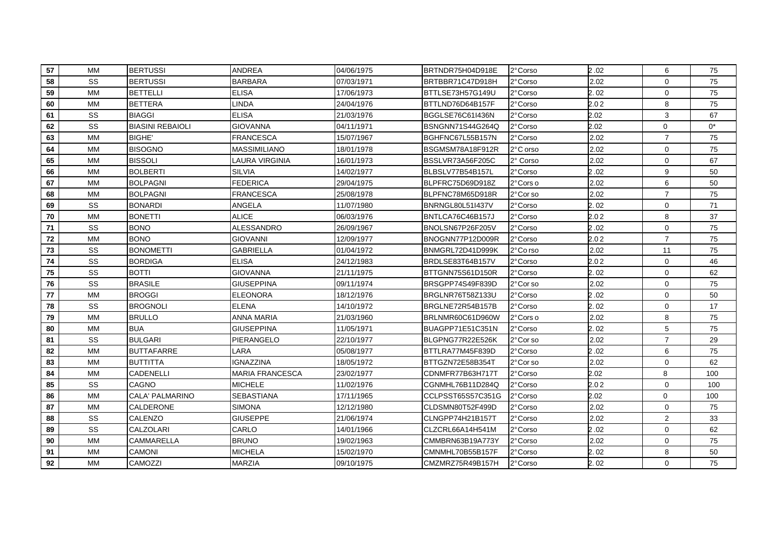| 57 | <b>MM</b> | <b>BERTUSSI</b>         | <b>ANDREA</b>          | 04/06/1975 | BRTNDR75H04D918E  | 2°Corso  | 2.02 | 6              | 75    |
|----|-----------|-------------------------|------------------------|------------|-------------------|----------|------|----------------|-------|
| 58 | SS        | <b>BERTUSSI</b>         | <b>BARBARA</b>         | 07/03/1971 | BRTBBR71C47D918H  | 2° Corso | 2.02 | 0              | 75    |
| 59 | <b>MM</b> | <b>BETTELLI</b>         | <b>ELISA</b>           | 17/06/1973 | BTTLSE73H57G149U  | 2° Corso | 2.02 | $\mathbf 0$    | 75    |
| 60 | MM        | <b>BETTERA</b>          | LINDA                  | 24/04/1976 | BTTLND76D64B157F  | 2°Corso  | 2.02 | 8              | 75    |
| 61 | SS        | <b>BIAGGI</b>           | <b>ELISA</b>           | 21/03/1976 | BGGLSE76C61I436N  | 2° Corso | 2.02 | 3              | 67    |
| 62 | SS        | <b>BIASINI REBAIOLI</b> | <b>GIOVANNA</b>        | 04/11/1971 | BSNGNN71S44G264Q  | 2°Corso  | 2.02 | 0              | $0^*$ |
| 63 | <b>MM</b> | <b>BIGHE'</b>           | <b>FRANCESCA</b>       | 15/07/1967 | BGHFNC67L55B157N  | 2° Corso | 2.02 | $\overline{7}$ | 75    |
| 64 | <b>MM</b> | <b>BISOGNO</b>          | <b>MASSIMILIANO</b>    | 18/01/1978 | BSGMSM78A18F912R  | 2°C orso | 2.02 | 0              | 75    |
| 65 | <b>MM</b> | <b>BISSOLI</b>          | LAURA VIRGINIA         | 16/01/1973 | BSSLVR73A56F205C  | 2° Corso | 2.02 | 0              | 67    |
| 66 | <b>MM</b> | <b>BOLBERTI</b>         | <b>SILVIA</b>          | 14/02/1977 | BLBSLV77B54B157L  | 2°Corso  | 2.02 | 9              | 50    |
| 67 | <b>MM</b> | <b>BOLPAGNI</b>         | <b>FEDERICA</b>        | 29/04/1975 | BLPFRC75D69D918Z  | 2°Cors o | 2.02 | 6              | 50    |
| 68 | <b>MM</b> | <b>BOLPAGNI</b>         | <b>FRANCESCA</b>       | 25/08/1978 | BLPFNC78M65D918R  | 2°Corso  | 2.02 | $\overline{7}$ | 75    |
| 69 | SS        | <b>BONARDI</b>          | ANGELA                 | 11/07/1980 | BNRNGL80L51I437V  | 2° Corso | 2.02 | $\Omega$       | 71    |
| 70 | <b>MM</b> | <b>BONETTI</b>          | <b>ALICE</b>           | 06/03/1976 | BNTLCA76C46B157J  | 2°Corso  | 2.02 | 8              | 37    |
| 71 | SS        | <b>BONO</b>             | <b>ALESSANDRO</b>      | 26/09/1967 | BNOLSN67P26F205V  | 2°Corso  | 2.02 | $\mathbf 0$    | 75    |
| 72 | <b>MM</b> | <b>BONO</b>             | GIOVANNI               | 12/09/1977 | BNOGNN77P12D009R  | 2° Corso | 2.02 | $\overline{7}$ | 75    |
| 73 | SS        | <b>BONOMETTI</b>        | <b>GABRIELLA</b>       | 01/04/1972 | BNMGRL72D41D999K  | 2°Co rso | 2.02 | 11             | 75    |
| 74 | SS        | <b>BORDIGA</b>          | <b>ELISA</b>           | 24/12/1983 | BRDLSE83T64B157V  | 2°Corso  | 2.02 | 0              | 46    |
| 75 | SS        | <b>BOTTI</b>            | <b>GIOVANNA</b>        | 21/11/1975 | BTTGNN75S61D150R  | 2°Corso  | 2.02 | $\mathbf 0$    | 62    |
| 76 | SS        | <b>BRASILE</b>          | <b>GIUSEPPINA</b>      | 09/11/1974 | BRSGPP74S49F839D  | 2°Cor so | 2.02 | 0              | 75    |
| 77 | <b>MM</b> | <b>BROGGI</b>           | <b>ELEONORA</b>        | 18/12/1976 | BRGLNR76T58Z133U  | 2° Corso | 2.02 | $\mathbf 0$    | 50    |
| 78 | SS        | <b>BROGNOLI</b>         | <b>ELENA</b>           | 14/10/1972 | BRGLNE72R54B157B  | 2°Corso  | 2.02 | 0              | 17    |
| 79 | <b>MM</b> | <b>BRULLO</b>           | ANNA MARIA             | 21/03/1960 | BRLNMR60C61D960W  | 2°Cors o | 2.02 | 8              | 75    |
| 80 | <b>MM</b> | <b>BUA</b>              | <b>GIUSEPPINA</b>      | 11/05/1971 | BUAGPP71E51C351N  | 2°Corso  | 2.02 | 5              | 75    |
| 81 | SS        | <b>BULGARI</b>          | PIERANGELO             | 22/10/1977 | BLGPNG77R22E526K  | 2°Cor so | 2.02 | $\overline{7}$ | 29    |
| 82 | <b>MM</b> | <b>BUTTAFARRE</b>       | LARA                   | 05/08/1977 | BTTLRA77M45F839D  | 2°Corso  | 2.02 | 6              | 75    |
| 83 | <b>MM</b> | <b>BUTTITTA</b>         | <b>IGNAZZINA</b>       | 18/05/1972 | BTTGZN72E58B354T  | 2°Cor so | 2.02 | 0              | 62    |
| 84 | MM        | CADENELLI               | <b>MARIA FRANCESCA</b> | 23/02/1977 | CDNMFR77B63H717T  | 2° Corso | 2.02 | 8              | 100   |
| 85 | SS        | CAGNO                   | <b>MICHELE</b>         | 11/02/1976 | CGNMHL76B11D284Q  | 2°Corso  | 2.02 | $\mathbf 0$    | 100   |
| 86 | <b>MM</b> | CALA' PALMARINO         | <b>SEBASTIANA</b>      | 17/11/1965 | CCLPSST65S57C351G | 2°Corso  | 2.02 | 0              | 100   |
| 87 | <b>MM</b> | CALDERONE               | <b>SIMONA</b>          | 12/12/1980 | CLDSMN80T52F499D  | 2°Corso  | 2.02 | $\mathbf 0$    | 75    |
| 88 | SS        | CALENZO                 | <b>GIUSEPPE</b>        | 21/06/1974 | CLNGPP74H21B157T  | 2°Corso  | 2.02 | $\overline{2}$ | 33    |
| 89 | SS        | <b>CALZOLARI</b>        | CARLO                  | 14/01/1966 | CLZCRL66A14H541M  | 2°Corso  | 2.02 | $\mathbf 0$    | 62    |
| 90 | <b>MM</b> | <b>CAMMARELLA</b>       | <b>BRUNO</b>           | 19/02/1963 | CMMBRN63B19A773Y  | 2°Corso  | 2.02 | $\mathbf 0$    | 75    |
| 91 | <b>MM</b> | <b>CAMONI</b>           | <b>MICHELA</b>         | 15/02/1970 | CMNMHL70B55B157F  | 2° Corso | 2.02 | 8              | 50    |
| 92 | <b>MM</b> | CAMOZZI                 | <b>MARZIA</b>          | 09/10/1975 | CMZMRZ75R49B157H  | 2°Corso  | 2.02 | 0              | 75    |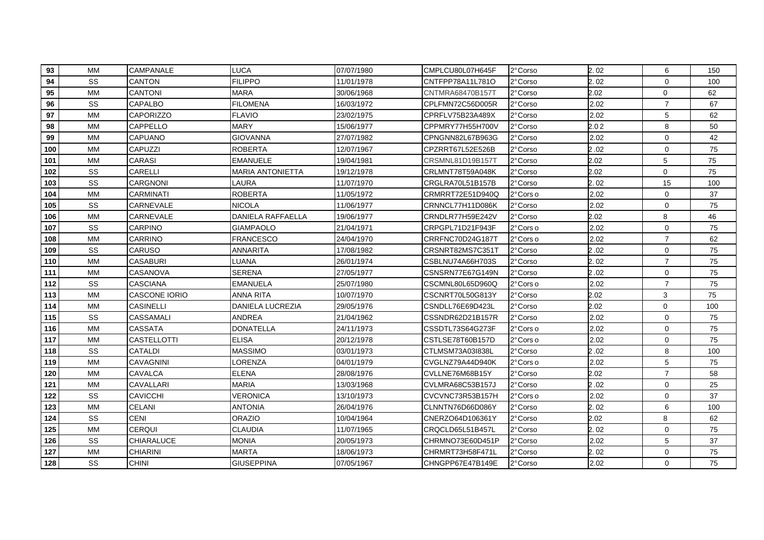| 93  | <b>MM</b> | CAMPANALE            | LUCA                    | 07/07/1980 | CMPLCU80L07H645F | 2°Corso   | 2.02 | 6              | 150 |
|-----|-----------|----------------------|-------------------------|------------|------------------|-----------|------|----------------|-----|
| 94  | SS        | CANTON               | <b>FILIPPO</b>          | 11/01/1978 | CNTFPP78A11L781O | 2°Corso   | 2.02 | $\mathbf 0$    | 100 |
| 95  | MM        | <b>CANTONI</b>       | <b>MARA</b>             | 30/06/1968 | CNTMRA68470B157T | 2°Corso   | 2.02 | 0              | 62  |
| 96  | SS        | CAPALBO              | <b>FILOMENA</b>         | 16/03/1972 | CPLFMN72C56D005R | 2°Corso   | 2.02 | $\overline{7}$ | 67  |
| 97  | <b>MM</b> | <b>CAPORIZZO</b>     | <b>FLAVIO</b>           | 23/02/1975 | CPRFLV75B23A489X | 2°Corso   | 2.02 | 5              | 62  |
| 98  | <b>MM</b> | <b>CAPPELLO</b>      | MARY                    | 15/06/1977 | CPPMRY77H55H700V | 2° Corso  | 2.02 | 8              | 50  |
| 99  | <b>MM</b> | <b>CAPUANO</b>       | <b>GIOVANNA</b>         | 27/07/1982 | CPNGNN82L67B963G | 2° Corso  | 2.02 | 0              | 42  |
| 100 | <b>MM</b> | <b>CAPUZZI</b>       | <b>ROBERTA</b>          | 12/07/1967 | CPZRRT67L52E526B | 2°Corso   | 2.02 | $\mathbf 0$    | 75  |
| 101 | <b>MM</b> | <b>CARASI</b>        | <b>EMANUELE</b>         | 19/04/1981 | CRSMNL81D19B157T | 2°Corso   | 2.02 | 5              | 75  |
| 102 | SS        | CARELLI              | <b>MARIA ANTONIETTA</b> | 19/12/1978 | CRLMNT78T59A048K | 2°Corso   | 2.02 | $\mathbf 0$    | 75  |
| 103 | SS        | <b>CARGNONI</b>      | LAURA                   | 11/07/1970 | CRGLRA70L51B157B | 2°Corso   | 2.02 | 15             | 100 |
| 104 | <b>MM</b> | <b>CARMINATI</b>     | <b>ROBERTA</b>          | 11/05/1972 | CRMRRT72E51D940Q | 2°Cors o  | 2.02 | 0              | 37  |
| 105 | SS        | CARNEVALE            | <b>NICOLA</b>           | 11/06/1977 | CRNNCL77H11D086K | 2°Corso   | 2.02 | $\mathbf 0$    | 75  |
| 106 | <b>MM</b> | CARNEVALE            | DANIELA RAFFAELLA       | 19/06/1977 | CRNDLR77H59E242V | 2° Corso  | 2.02 | 8              | 46  |
| 107 | SS        | <b>CARPINO</b>       | GIAMPAOLO               | 21/04/1971 | CRPGPL71D21F943F | 2°Cors o  | 2.02 | $\mathbf 0$    | 75  |
| 108 | MM        | <b>CARRINO</b>       | <b>FRANCESCO</b>        | 24/04/1970 | CRRFNC70D24G187T | 2°Cors o  | 2.02 | $\overline{7}$ | 62  |
| 109 | SS        | <b>CARUSO</b>        | <b>ANNARITA</b>         | 17/08/1982 | CRSNRT82MS7C351T | 2°Corso   | 2.02 | 0              | 75  |
| 110 | <b>MM</b> | CASABURI             | LUANA                   | 26/01/1974 | CSBLNU74A66H703S | 2° Corso  | 2.02 | $\overline{7}$ | 75  |
| 111 | <b>MM</b> | CASANOVA             | <b>SERENA</b>           | 27/05/1977 | CSNSRN77E67G149N | 2°Corso   | 2.02 | 0              | 75  |
| 112 | SS        | <b>CASCIANA</b>      | <b>EMANUELA</b>         | 25/07/1980 | CSCMNL80L65D960Q | 2°Cors o  | 2.02 | $\overline{7}$ | 75  |
| 113 | <b>MM</b> | <b>CASCONE IORIO</b> | <b>ANNA RITA</b>        | 10/07/1970 | CSCNRT70L50G813Y | 2°Corso   | 2.02 | 3              | 75  |
| 114 | МM        | CASINELLI            | DANIELA LUCREZIA        | 29/05/1976 | CSNDLL76E69D423L | 2°Corso   | 2.02 | $\Omega$       | 100 |
| 115 | SS        | <b>CASSAMALI</b>     | <b>ANDREA</b>           | 21/04/1962 | CSSNDR62D21B157R | 2°Corso   | 2.02 | $\mathbf 0$    | 75  |
| 116 | <b>MM</b> | <b>CASSATA</b>       | <b>DONATELLA</b>        | 24/11/1973 | CSSDTL73S64G273F | 2°Cors o  | 2.02 | $\mathbf 0$    | 75  |
| 117 | <b>MM</b> | <b>CASTELLOTTI</b>   | <b>ELISA</b>            | 20/12/1978 | CSTLSE78T60B157D | 2°Cors o  | 2.02 | $\mathbf 0$    | 75  |
| 118 | SS        | <b>CATALDI</b>       | <b>MASSIMO</b>          | 03/01/1973 | CTLMSM73A03I838L | 2° Corso  | 2.02 | 8              | 100 |
| 119 | <b>MM</b> | <b>CAVAGNINI</b>     | LORENZA                 | 04/01/1979 | CVGLNZ79A44D940K | 2° Cors o | 2.02 | 5              | 75  |
| 120 | <b>MM</b> | CAVALCA              | <b>ELENA</b>            | 28/08/1976 | CVLLNE76M68B15Y  | 2° Corso  | 2.02 | $\overline{7}$ | 58  |
| 121 | <b>MM</b> | CAVALLARI            | <b>MARIA</b>            | 13/03/1968 | CVLMRA68C53B157J | 2°Corso   | 2.02 | 0              | 25  |
| 122 | SS        | <b>CAVICCHI</b>      | VERONICA                | 13/10/1973 | CVCVNC73R53B157H | 2° Cors o | 2.02 | $\mathbf 0$    | 37  |
| 123 | <b>MM</b> | CELANI               | ANTONIA                 | 26/04/1976 | CLNNTN76D66D086Y | 2°Corso   | 2.02 | 6              | 100 |
| 124 | SS        | CENI                 | <b>ORAZIO</b>           | 10/04/1964 | CNERZO64D106361Y | 2°Corso   | 2.02 | 8              | 62  |
| 125 | <b>MM</b> | <b>CERQUI</b>        | <b>CLAUDIA</b>          | 11/07/1965 | CRQCLD65L51B457L | 2° Corso  | 2.02 | $\mathbf 0$    | 75  |
| 126 | SS        | CHIARALUCE           | <b>MONIA</b>            | 20/05/1973 | CHRMNO73E60D451P | 2°Corso   | 2.02 | 5              | 37  |
| 127 | <b>MM</b> | <b>CHIARINI</b>      | <b>MARTA</b>            | 18/06/1973 | CHRMRT73H58F471L | 2° Corso  | 2.02 | 0              | 75  |
| 128 | SS        | <b>CHINI</b>         | <b>GIUSEPPINA</b>       | 07/05/1967 | CHNGPP67E47B149E | 2° Corso  | 2.02 | $\mathbf 0$    | 75  |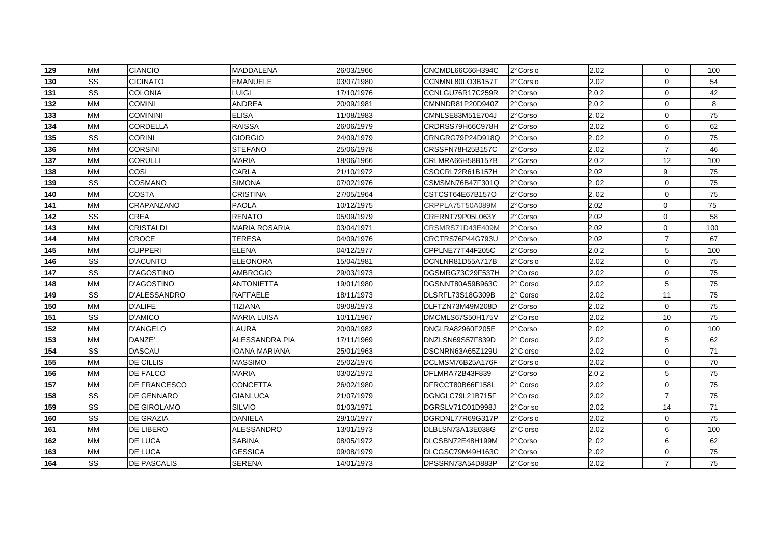| 129 | <b>MM</b> | <b>CIANCIO</b>     | <b>MADDALENA</b>     | 26/03/1966 | CNCMDL66C66H394C | 2°Cors o | 2.02 | 0              | 100 |
|-----|-----------|--------------------|----------------------|------------|------------------|----------|------|----------------|-----|
| 130 | SS        | CICINATO           | <b>EMANUELE</b>      | 03/07/1980 | CCNMNL80LO3B157T | 2°Cors o | 2.02 | $\mathbf 0$    | 54  |
| 131 | SS        | <b>COLONIA</b>     | LUIGI                | 17/10/1976 | CCNLGU76R17C259R | 2°Corso  | 2.02 | 0              | 42  |
| 132 | MM        | <b>COMINI</b>      | ANDREA               | 20/09/1981 | CMNNDR81P20D940Z | 2° Corso | 2.02 | 0              | 8   |
| 133 | <b>MM</b> | <b>COMININI</b>    | <b>ELISA</b>         | 11/08/1983 | CMNLSE83M51E704J | 2° Corso | 2.02 | $\mathbf 0$    | 75  |
| 134 | <b>MM</b> | CORDELLA           | <b>RAISSA</b>        | 26/06/1979 | CRDRSS79H66C978H | 2°Corso  | 2.02 | 6              | 62  |
| 135 | SS        | <b>CORINI</b>      | <b>GIORGIO</b>       | 24/09/1979 | CRNGRG79P24D918Q | 2°Corso  | 2.02 | $\mathbf 0$    | 75  |
| 136 | <b>MM</b> | <b>CORSINI</b>     | <b>STEFANO</b>       | 25/06/1978 | CRSSFN78H25B157C | 2° Corso | 2.02 | $\overline{7}$ | 46  |
| 137 | МM        | <b>CORULLI</b>     | <b>MARIA</b>         | 18/06/1966 | CRLMRA66H58B157B | 2°Corso  | 2.02 | 12             | 100 |
| 138 | <b>MM</b> | COSI               | CARLA                | 21/10/1972 | CSOCRL72R61B157H | 2°Corso  | 2.02 | 9              | 75  |
| 139 | SS        | <b>COSMANO</b>     | <b>SIMONA</b>        | 07/02/1976 | CSMSMN76B47F301Q | 2°Corso  | 2.02 | $\mathbf 0$    | 75  |
| 140 | <b>MM</b> | <b>COSTA</b>       | <b>CRISTINA</b>      | 27/05/1964 | CSTCST64E67B157O | 2°Corso  | 2.02 | 0              | 75  |
| 141 | <b>MM</b> | CRAPANZANO         | <b>PAOLA</b>         | 10/12/1975 | CRPPLA75T50A089M | 2° Corso | 2.02 | $\mathbf 0$    | 75  |
| 142 | SS        | <b>CREA</b>        | <b>RENATO</b>        | 05/09/1979 | CRERNT79P05L063Y | 2°Corso  | 2.02 | $\mathbf 0$    | 58  |
| 143 | <b>MM</b> | <b>CRISTALDI</b>   | <b>MARIA ROSARIA</b> | 03/04/1971 | CRSMRS71D43E409M | 2°Corso  | 2.02 | $\mathbf 0$    | 100 |
| 144 | <b>MM</b> | CROCE              | TERESA               | 04/09/1976 | CRCTRS76P44G793U | 2°Corso  | 2.02 | $\overline{7}$ | 67  |
| 145 | <b>MM</b> | <b>CUPPERI</b>     | <b>ELENA</b>         | 04/12/1977 | CPPLNE77T44F205C | 2°Corso  | 2.02 | 5              | 100 |
| 146 | SS        | D'ACUNTO           | <b>ELEONORA</b>      | 15/04/1981 | DCNLNR81D55A717B | 2°Cors o | 2.02 | 0              | 75  |
| 147 | SS        | D'AGOSTINO         | <b>AMBROGIO</b>      | 29/03/1973 | DGSMRG73C29F537H | 2°Co rso | 2.02 | $\mathbf 0$    | 75  |
| 148 | <b>MM</b> | <b>D'AGOSTINO</b>  | <b>ANTONIETTA</b>    | 19/01/1980 | DGSNNT80A59B963C | 2° Corso | 2.02 | 5              | 75  |
| 149 | SS        | D'ALESSANDRO       | RAFFAELE             | 18/11/1973 | DLSRFL73S18G309B | 2° Corso | 2.02 | 11             | 75  |
| 150 | <b>MM</b> | <b>D'ALIFE</b>     | <b>TIZIANA</b>       | 09/08/1973 | DLFTZN73M49M208D | 2°Corso  | 2.02 | $\mathbf 0$    | 75  |
| 151 | SS        | D'AMICO            | <b>MARIA LUISA</b>   | 10/11/1967 | DMCMLS67S50H175V | 2°Co rso | 2.02 | 10             | 75  |
| 152 | <b>MM</b> | <b>D'ANGELO</b>    | LAURA                | 20/09/1982 | DNGLRA82960F205E | 2°Corso  | 2.02 | 0              | 100 |
| 153 | <b>MM</b> | DANZE'             | ALESSANDRA PIA       | 17/11/1969 | DNZLSN69S57F839D | 2° Corso | 2.02 | 5              | 62  |
| 154 | SS        | <b>DASCAU</b>      | IOANA MARIANA        | 25/01/1963 | DSCNRN63A65Z129U | 2°C orso | 2.02 | $\mathbf 0$    | 71  |
| 155 | <b>MM</b> | DE CILLIS          | <b>MASSIMO</b>       | 25/02/1976 | DCLMSM76B25A176F | 2°Cors o | 2.02 | $\mathbf 0$    | 70  |
| 156 | MM        | DE FALCO           | <b>MARIA</b>         | 03/02/1972 | DFLMRA72B43F839  | 2°Corso  | 2.02 | 5              | 75  |
| 157 | <b>MM</b> | DE FRANCESCO       | CONCETTA             | 26/02/1980 | DFRCCT80B66F158L | 2° Corso | 2.02 | 0              | 75  |
| 158 | SS        | DE GENNARO         | <b>GIANLUCA</b>      | 21/07/1979 | DGNGLC79L21B715F | 2°Co rso | 2.02 | $\overline{7}$ | 75  |
| 159 | SS        | <b>DE GIROLAMO</b> | SILVIO               | 01/03/1971 | DGRSLV71C01D998J | 2°Cor so | 2.02 | 14             | 71  |
| 160 | SS        | DE GRAZIA          | <b>DANIELA</b>       | 29/10/1977 | DGRDNL77R69G317P | 2°Cors o | 2.02 | $\mathbf 0$    | 75  |
| 161 | <b>MM</b> | DE LIBERO          | <b>ALESSANDRO</b>    | 13/01/1973 | DLBLSN73A13E038G | 2°C orso | 2.02 | 6              | 100 |
| 162 | <b>MM</b> | DE LUCA            | <b>SABINA</b>        | 08/05/1972 | DLCSBN72E48H199M | 2°Corso  | 2.02 | 6              | 62  |
| 163 | <b>MM</b> | <b>DE LUCA</b>     | <b>GESSICA</b>       | 09/08/1979 | DLCGSC79M49H163C | 2° Corso | 2.02 | 0              | 75  |
| 164 | SS        | <b>DE PASCALIS</b> | <b>SERENA</b>        | 14/01/1973 | DPSSRN73A54D883P | 2°Corso  | 2.02 | $\overline{7}$ | 75  |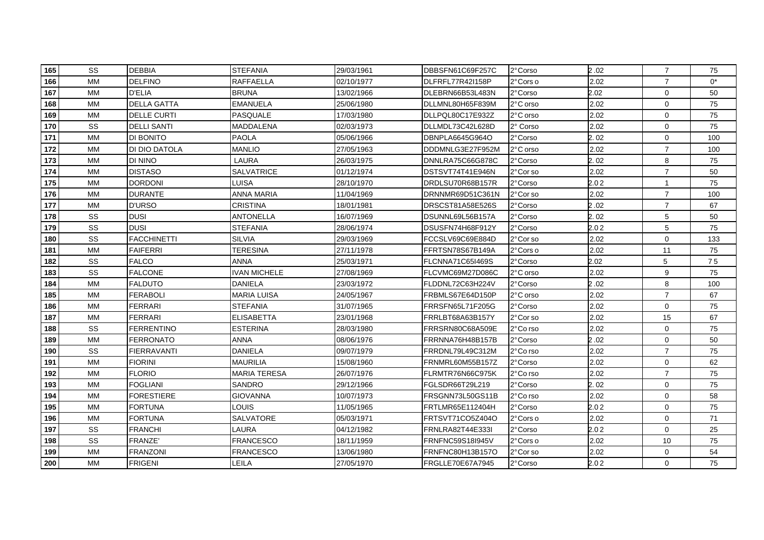| 165 | <b>SS</b> | <b>DEBBIA</b>      | <b>STEFANIA</b>     | 29/03/1961 | DBBSFN61C69F257C | 2°Corso  | 2.02 | $\overline{7}$ | 75    |
|-----|-----------|--------------------|---------------------|------------|------------------|----------|------|----------------|-------|
| 166 | <b>MM</b> | <b>DELFINO</b>     | <b>RAFFAELLA</b>    | 02/10/1977 | DLFRFL77R42l158P | 2°Cors o | 2.02 | $\overline{7}$ | $0^*$ |
| 167 | <b>MM</b> | D'ELIA             | <b>BRUNA</b>        | 13/02/1966 | DLEBRN66B53L483N | 2°Corso  | 2.02 | $\mathbf 0$    | 50    |
| 168 | <b>MM</b> | <b>DELLA GATTA</b> | <b>EMANUELA</b>     | 25/06/1980 | DLLMNL80H65F839M | 2°C orso | 2.02 | $\mathbf 0$    | 75    |
| 169 | <b>MM</b> | <b>DELLE CURTI</b> | PASQUALE            | 17/03/1980 | DLLPQL80C17E932Z | 2°C orso | 2.02 | $\mathbf 0$    | 75    |
| 170 | SS        | <b>DELLI SANTI</b> | MADDALENA           | 02/03/1973 | DLLMDL73C42L628D | 2° Corso | 2.02 | 0              | 75    |
| 171 | <b>MM</b> | DI BONITO          | <b>PAOLA</b>        | 05/06/1966 | DBNPLA6645G964O  | 2° Corso | 2.02 | $\mathbf 0$    | 100   |
| 172 | <b>MM</b> | DI DIO DATOLA      | <b>MANLIO</b>       | 27/05/1963 | DDDMNLG3E27F952M | 2°C orso | 2.02 | $\overline{7}$ | 100   |
| 173 | МM        | di nino            | <b>LAURA</b>        | 26/03/1975 | DNNLRA75C66G878C | 2°Corso  | 2.02 | 8              | 75    |
| 174 | <b>MM</b> | <b>DISTASO</b>     | <b>SALVATRICE</b>   | 01/12/1974 | DSTSVT74T41E946N | 2°Cor so | 2.02 | $\overline{7}$ | 50    |
| 175 | <b>MM</b> | <b>DORDONI</b>     | LUISA               | 28/10/1970 | DRDLSU70R68B157R | 2°Corso  | 2.02 | $\mathbf{1}$   | 75    |
| 176 | <b>MM</b> | <b>DURANTE</b>     | ANNA MARIA          | 11/04/1969 | DRNNMR69D51C361N | 2°Cor so | 2.02 | $\overline{7}$ | 100   |
| 177 | <b>MM</b> | D'URSO             | <b>CRISTINA</b>     | 18/01/1981 | DRSCST81A58E526S | 2° Corso | 2.02 | $\overline{7}$ | 67    |
| 178 | SS        | <b>DUSI</b>        | <b>ANTONELLA</b>    | 16/07/1969 | DSUNNL69L56B157A | 2°Corso  | 2.02 | 5              | 50    |
| 179 | SS        | <b>DUSI</b>        | <b>STEFANIA</b>     | 28/06/1974 | DSUSFN74H68F912Y | 2°Corso  | 2.02 | 5              | 75    |
| 180 | SS        | FACCHINETTI        | SILVIA              | 29/03/1969 | FCCSLV69C69E884D | 2°Cor so | 2.02 | $\mathbf 0$    | 133   |
| 181 | <b>MM</b> | FAIFERRI           | <b>TERESINA</b>     | 27/11/1978 | FFRTSN78S67B149A | 2°Cors o | 2.02 | 11             | 75    |
| 182 | SS        | <b>FALCO</b>       | ANNA                | 25/03/1971 | FLCNNA71C65I469S | 2° Corso | 2.02 | 5              | 75    |
| 183 | SS        | <b>FALCONE</b>     | <b>IVAN MICHELE</b> | 27/08/1969 | FLCVMC69M27D086C | 2°C orso | 2.02 | 9              | 75    |
| 184 | <b>MM</b> | <b>FALDUTO</b>     | <b>DANIELA</b>      | 23/03/1972 | FLDDNL72C63H224V | 2°Corso  | 2.02 | 8              | 100   |
| 185 | <b>MM</b> | <b>FERABOLI</b>    | <b>MARIA LUISA</b>  | 24/05/1967 | FRBMLS67E64D150P | 2°C orso | 2.02 | $\overline{7}$ | 67    |
| 186 | MM        | <b>FERRARI</b>     | <b>STEFANIA</b>     | 31/07/1965 | FRRSFN65L71F205G | 2°Corso  | 2.02 | 0              | 75    |
| 187 | MM        | <b>FERRARI</b>     | <b>ELISABETTA</b>   | 23/01/1968 | FRRLBT68A63B157Y | 2°Cor so | 2.02 | 15             | 67    |
| 188 | SS        | <b>FERRENTINO</b>  | <b>ESTERINA</b>     | 28/03/1980 | FRRSRN80C68A509E | 2°Co rso | 2.02 | 0              | 75    |
| 189 | <b>MM</b> | <b>FERRONATO</b>   | <b>ANNA</b>         | 08/06/1976 | FRRNNA76H48B157B | 2°Corso  | 2.02 | $\mathbf 0$    | 50    |
| 190 | SS        | <b>FIERRAVANTI</b> | <b>DANIELA</b>      | 09/07/1979 | FRRDNL79L49C312M | 2°Co rso | 2.02 | $\overline{7}$ | 75    |
| 191 | <b>MM</b> | <b>FIORINI</b>     | <b>MAURILIA</b>     | 15/08/1960 | FRNMRL60M55B157Z | 2° Corso | 2.02 | $\mathbf 0$    | 62    |
| 192 | <b>MM</b> | <b>FLORIO</b>      | <b>MARIA TERESA</b> | 26/07/1976 | FLRMTR76N66C975K | 2°Co rso | 2.02 | $\overline{7}$ | 75    |
| 193 | <b>MM</b> | FOGLIANI           | <b>SANDRO</b>       | 29/12/1966 | FGLSDR66T29L219  | 2° Corso | 2.02 | $\mathbf 0$    | 75    |
| 194 | MM        | <b>FORESTIERE</b>  | <b>GIOVANNA</b>     | 10/07/1973 | FRSGNN73L50GS11B | 2°Co rso | 2.02 | 0              | 58    |
| 195 | <b>MM</b> | FORTUNA            | LOUIS               | 11/05/1965 | FRTLMR65E112404H | 2°Corso  | 2.02 | $\mathbf 0$    | 75    |
| 196 | <b>MM</b> | <b>FORTUNA</b>     | SALVATORE           | 05/03/1971 | FRTSVT71CO5Z404O | 2°Cors o | 2.02 | $\mathbf 0$    | 71    |
| 197 | SS        | <b>FRANCHI</b>     | LAURA               | 04/12/1982 | FRNLRA82T44E333I | 2°Corso  | 2.02 | $\mathbf 0$    | 25    |
| 198 | SS        | FRANZE'            | <b>FRANCESCO</b>    | 18/11/1959 | FRNFNC59S18I945V | 2°Cors o | 2.02 | 10             | 75    |
| 199 | <b>MM</b> | <b>FRANZONI</b>    | <b>FRANCESCO</b>    | 13/06/1980 | FRNFNC80H13B157O | 2°Cor so | 2.02 | 0              | 54    |
| 200 | <b>MM</b> | <b>FRIGENI</b>     | LEILA               | 27/05/1970 | FRGLLE70E67A7945 | 2° Corso | 2.02 | 0              | 75    |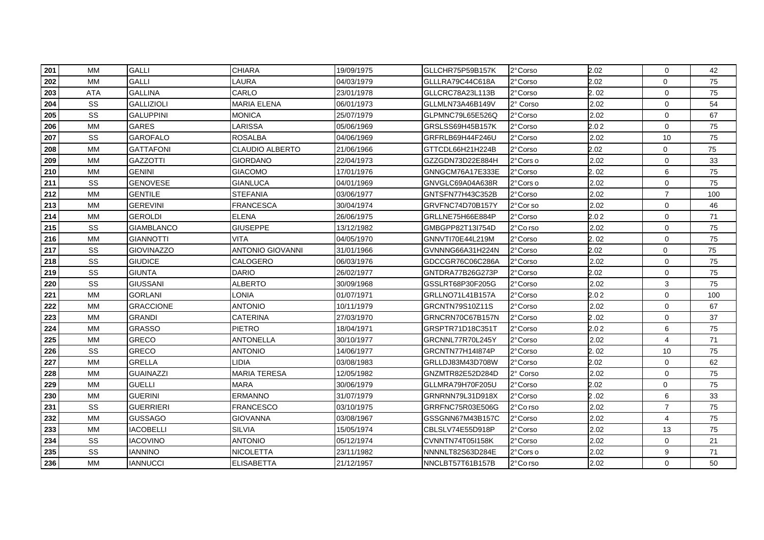| 201 | <b>MM</b> | <b>GALLI</b>      | <b>CHIARA</b>          | 19/09/1975 | GLLCHR75P59B157K | 2°Corso  | 2.02 | $\mathbf 0$    | 42  |
|-----|-----------|-------------------|------------------------|------------|------------------|----------|------|----------------|-----|
| 202 | <b>MM</b> | GALLI             | LAURA                  | 04/03/1979 | GLLLRA79C44C618A | 2°Corso  | 2.02 | 0              | 75  |
| 203 | ATA       | <b>GALLINA</b>    | CARLO                  | 23/01/1978 | GLLCRC78A23L113B | 2°Corso  | 2.02 | $\mathbf 0$    | 75  |
| 204 | SS        | <b>GALLIZIOLI</b> | <b>MARIA ELENA</b>     | 06/01/1973 | GLLMLN73A46B149V | 2° Corso | 2.02 | $\mathbf 0$    | 54  |
| 205 | SS        | <b>GALUPPINI</b>  | <b>MONICA</b>          | 25/07/1979 | GLPMNC79L65E526Q | 2° Corso | 2.02 | $\mathbf 0$    | 67  |
| 206 | <b>MM</b> | GARES             | LARISSA                | 05/06/1969 | GRSLSS69H45B157K | 2°Corso  | 2.02 | 0              | 75  |
| 207 | SS        | <b>GAROFALO</b>   | <b>ROSALBA</b>         | 04/06/1969 | GRFRLB69H44F246U | 2° Corso | 2.02 | 10             | 75  |
| 208 | <b>MM</b> | <b>GATTAFONI</b>  | <b>CLAUDIO ALBERTO</b> | 21/06/1966 | GTTCDL66H21H224B | 2°Corso  | 2.02 | 0              | 75  |
| 209 | МM        | GAZZOTTI          | <b>GIORDANO</b>        | 22/04/1973 | GZZGDN73D22E884H | 2°Cors o | 2.02 | 0              | 33  |
| 210 | MM        | GENINI            | <b>GIACOMO</b>         | 17/01/1976 | GNNGCM76A17E333E | 2° Corso | 2.02 | 6              | 75  |
| 211 | SS        | <b>GENOVESE</b>   | <b>GIANLUCA</b>        | 04/01/1969 | GNVGLC69A04A638R | 2°Corso  | 2.02 | $\mathbf 0$    | 75  |
| 212 | <b>MM</b> | GENTILE           | <b>STEFANIA</b>        | 03/06/1977 | GNTSFN77H43C352B | 2°Corso  | 2.02 | $\overline{7}$ | 100 |
| 213 | <b>MM</b> | <b>GEREVINI</b>   | <b>FRANCESCA</b>       | 30/04/1974 | GRVFNC74D70B157Y | 2°Corso  | 2.02 | $\Omega$       | 46  |
| 214 | <b>MM</b> | <b>GEROLDI</b>    | <b>ELENA</b>           | 26/06/1975 | GRLLNE75H66E884P | 2°Corso  | 2.02 | $\mathbf 0$    | 71  |
| 215 | SS        | GIAMBLANCO        | <b>GIUSEPPE</b>        | 13/12/1982 | GMBGPP82T13I754D | 2°Co rso | 2.02 | $\mathbf 0$    | 75  |
| 216 | <b>MM</b> | <b>GIANNOTTI</b>  | VITA                   | 04/05/1970 | GNNVTI70E44L219M | 2°Corso  | 2.02 | 0              | 75  |
| 217 | SS        | <b>GIOVINAZZO</b> | ANTONIO GIOVANNI       | 31/01/1966 | GVNNNG66A31H224N | 2°Corso  | 2.02 | 0              | 75  |
| 218 | SS        | <b>GIUDICE</b>    | CALOGERO               | 06/03/1976 | GDCCGR76C06C286A | 2°Corso  | 2.02 | 0              | 75  |
| 219 | SS        | <b>GIUNTA</b>     | <b>DARIO</b>           | 26/02/1977 | GNTDRA77B26G273P | 2° Corso | 2.02 | $\mathbf 0$    | 75  |
| 220 | SS        | <b>GIUSSANI</b>   | <b>ALBERTO</b>         | 30/09/1968 | GSSLRT68P30F205G | 2° Corso | 2.02 | 3              | 75  |
| 221 | <b>MM</b> | <b>GORLANI</b>    | LONIA                  | 01/07/1971 | GRLLNO71L41B157A | 2° Corso | 2.02 | 0              | 100 |
| 222 | MM        | <b>GRACCIONE</b>  | <b>ANTONIO</b>         | 10/11/1979 | GRCNTN79S10Z11S  | 2°Corso  | 2.02 | 0              | 67  |
| 223 | MM        | GRANDI            | <b>CATERINA</b>        | 27/03/1970 | GRNCRN70C67B157N | 2°Corso  | 2.02 | 0              | 37  |
| 224 | MM        | <b>GRASSO</b>     | <b>PIETRO</b>          | 18/04/1971 | GRSPTR71D18C351T | 2°Corso  | 2.02 | 6              | 75  |
| 225 | <b>MM</b> | GRECO             | <b>ANTONELLA</b>       | 30/10/1977 | GRCNNL77R70L245Y | 2°Corso  | 2.02 | 4              | 71  |
| 226 | SS        | <b>GRECO</b>      | ANTONIO                | 14/06/1977 | GRCNTN77H14l874P | 2° Corso | 2.02 | 10             | 75  |
| 227 | <b>MM</b> | <b>GRELLA</b>     | LIDIA                  | 03/08/1983 | GRLLDJ83M43D708W | 2° Corso | 2.02 | $\mathbf 0$    | 62  |
| 228 | <b>MM</b> | <b>GUAINAZZI</b>  | <b>MARIA TERESA</b>    | 12/05/1982 | GNZMTR82E52D284D | 2° Corso | 2.02 | $\mathbf 0$    | 75  |
| 229 | <b>MM</b> | GUELLI            | <b>MARA</b>            | 30/06/1979 | GLLMRA79H70F205U | 2° Corso | 2.02 | 0              | 75  |
| 230 | MM        | <b>GUERINI</b>    | ERMANNO                | 31/07/1979 | GRNRNN79L31D918X | 2°Corso  | 2.02 | 6              | 33  |
| 231 | SS        | <b>GUERRIERI</b>  | FRANCESCO              | 03/10/1975 | GRRFNC75R03E506G | 2°Co rso | 2.02 | $\overline{7}$ | 75  |
| 232 | <b>MM</b> | <b>GUSSAGO</b>    | <b>GIOVANNA</b>        | 03/08/1967 | GSSGNN67M43B157C | 2°Corso  | 2.02 | 4              | 75  |
| 233 | <b>MM</b> | <b>IACOBELLI</b>  | <b>SILVIA</b>          | 15/05/1974 | CBLSLV74E55D918P | 2°Corso  | 2.02 | 13             | 75  |
| 234 | SS        | <b>IACOVINO</b>   | <b>ANTONIO</b>         | 05/12/1974 | CVNNTN74T05I158K | 2° Corso | 2.02 | $\mathbf 0$    | 21  |
| 235 | SS        | <b>IANNINO</b>    | <b>NICOLETTA</b>       | 23/11/1982 | NNNNLT82S63D284E | 2°Cors o | 2.02 | 9              | 71  |
| 236 | <b>MM</b> | <b>IANNUCCI</b>   | <b>ELISABETTA</b>      | 21/12/1957 | NNCLBT57T61B157B | 2°Co rso | 2.02 | 0              | 50  |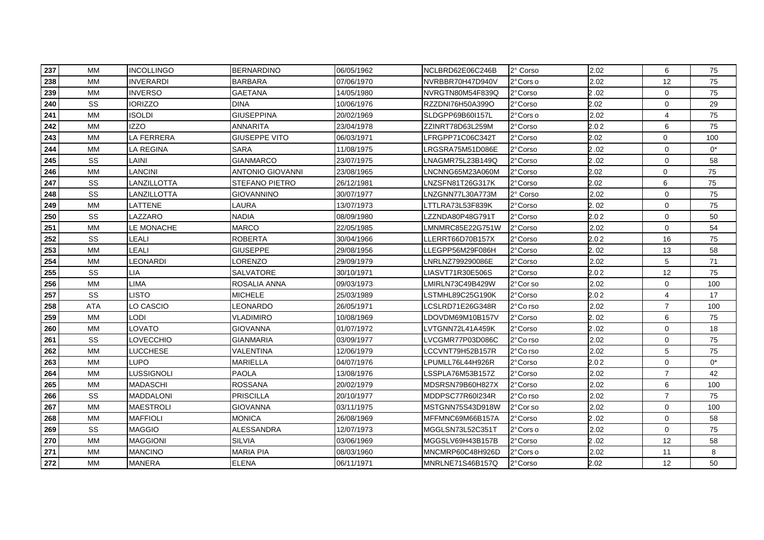| 237 | <b>MM</b> | <b>INCOLLINGO</b> | <b>BERNARDINO</b>       | 06/05/1962 | NCLBRD62E06C246B | 2° Corso  | 2.02 | 6              | 75    |
|-----|-----------|-------------------|-------------------------|------------|------------------|-----------|------|----------------|-------|
| 238 | <b>MM</b> | <b>INVERARDI</b>  | <b>BARBARA</b>          | 07/06/1970 | NVRBBR70H47D940V | 2° Cors o | 2.02 | 12             | 75    |
| 239 | <b>MM</b> | INVERSO           | <b>GAETANA</b>          | 14/05/1980 | NVRGTN80M54F839Q | 2°Corso   | 2.02 | $\mathbf 0$    | 75    |
| 240 | SS        | <b>IORIZZO</b>    | <b>DINA</b>             | 10/06/1976 | RZZDNI76H50A399O | 2°Corso   | 2.02 | 0              | 29    |
| 241 | <b>MM</b> | isoldi            | <b>GIUSEPPINA</b>       | 20/02/1969 | SLDGPP69B60I157L | 2° Cors o | 2.02 | 4              | 75    |
| 242 | MM        | IZZO              | <b>ANNARITA</b>         | 23/04/1978 | ZZINRT78D63L259M | 2°Corso   | 2.02 | 6              | 75    |
| 243 | <b>MM</b> | LA FERRERA        | <b>GIUSEPPE VITO</b>    | 06/03/1971 | LFRGPP71C06C342T | 2°Corso   | 2.02 | 0              | 100   |
| 244 | <b>MM</b> | LA REGINA         | <b>SARA</b>             | 11/08/1975 | LRGSRA75M51D086E | 2°Corso   | 2.02 | $\mathbf 0$    | $0^*$ |
| 245 | SS        | LAINI             | <b>GIANMARCO</b>        | 23/07/1975 | LNAGMR75L23B149Q | 2°Corso   | 2.02 | 0              | 58    |
| 246 | <b>MM</b> | <b>LANCINI</b>    | <b>ANTONIO GIOVANNI</b> | 23/08/1965 | LNCNNG65M23A060M | 2°Corso   | 2.02 | 0              | 75    |
| 247 | SS        | LANZILLOTTA       | STEFANO PIETRO          | 26/12/1981 | LNZSFN81T26G317K | 2°Corso   | 2.02 | 6              | 75    |
| 248 | SS        | LANZILLOTTA       | <b>GIOVANNINO</b>       | 30/07/1977 | LNZGNN77L30A773M | 2° Corso  | 2.02 | 0              | 75    |
| 249 | <b>MM</b> | LATTENE           | LAURA                   | 13/07/1973 | LTTLRA73L53F839K | 2° Corso  | 2.02 | $\Omega$       | 75    |
| 250 | SS        | LAZZARO           | <b>NADIA</b>            | 08/09/1980 | _ZZNDA80P48G791T | 2°Corso   | 2.02 | $\mathbf 0$    | 50    |
| 251 | <b>MM</b> | LE MONACHE        | <b>MARCO</b>            | 22/05/1985 | LMNMRC85E22G751W | 2°Corso   | 2.02 | $\mathbf 0$    | 54    |
| 252 | SS        | LEALI             | ROBERTA                 | 30/04/1966 | LLERRT66D70B157X | 2°Corso   | 2.02 | 16             | 75    |
| 253 | <b>MM</b> | LEALI             | <b>GIUSEPPE</b>         | 29/08/1956 | LLEGPP56M29F086H | 2° Corso  | 2.02 | 13             | 58    |
| 254 | MM        | LEONARDI          | _ORENZO                 | 29/09/1979 | LNRLNZ799290086E | 2°Corso   | 2.02 | 5              | 71    |
| 255 | SS        | <b>LIA</b>        | <b>SALVATORE</b>        | 30/10/1971 | LIASVT71R30E506S | 2° Corso  | 2.02 | 12             | 75    |
| 256 | <b>MM</b> | LIMA              | ROSALIA ANNA            | 09/03/1973 | LMIRLN73C49B429W | 2°Corso   | 2.02 | 0              | 100   |
| 257 | SS        | LISTO             | <b>MICHELE</b>          | 25/03/1989 | LSTMHL89C25G190K | 2° Corso  | 2.02 | 4              | 17    |
| 258 | ATA       | LO CASCIO         | LEONARDO                | 26/05/1971 | LCSLRD71E26G348R | 2°Co rso  | 2.02 | $\overline{7}$ | 100   |
| 259 | MM        | LODI              | VLADIMIRO               | 10/08/1969 | LDOVDM69M10B157V | 2°Corso   | 2.02 | 6              | 75    |
| 260 | MM        | LOVATO            | GIOVANNA                | 01/07/1972 | LVTGNN72L41A459K | 2°Corso   | 2.02 | 0              | 18    |
| 261 | SS        | LOVECCHIO         | <b>GIANMARIA</b>        | 03/09/1977 | LVCGMR77P03D086C | 2°Co rso  | 2.02 | $\mathbf 0$    | 75    |
| 262 | <b>MM</b> | <b>LUCCHESE</b>   | VALENTINA               | 12/06/1979 | LCCVNT79H52B157R | 2°Co rso  | 2.02 | 5              | 75    |
| 263 | <b>MM</b> | LUPO              | <b>MARIELLA</b>         | 04/07/1976 | LPUMLL76L44H926R | 2° Corso  | 2.02 | 0              | $0^*$ |
| 264 | <b>MM</b> | LUSSIGNOLI        | <b>PAOLA</b>            | 13/08/1976 | LSSPLA76M53B157Z | 2° Corso  | 2.02 | $\overline{7}$ | 42    |
| 265 | <b>MM</b> | MADASCHI          | <b>ROSSANA</b>          | 20/02/1979 | MDSRSN79B60H827X | 2° Corso  | 2.02 | 6              | 100   |
| 266 | SS        | <b>MADDALONI</b>  | <b>PRISCILLA</b>        | 20/10/1977 | MDDPSC77R60I234R | 2°Co rso  | 2.02 | $\overline{7}$ | 75    |
| 267 | <b>MM</b> | MAESTROLI         | GIOVANNA                | 03/11/1975 | MSTGNN75S43D918W | 2°Cor so  | 2.02 | $\mathbf 0$    | 100   |
| 268 | <b>MM</b> | <b>MAFFIOLI</b>   | <b>MONICA</b>           | 26/08/1969 | MFFMNC69M66B157A | 2°Corso   | 2.02 | $\mathbf 0$    | 58    |
| 269 | SS        | <b>MAGGIO</b>     | <b>ALESSANDRA</b>       | 12/07/1973 | MGGLSN73L52C351T | 2° Cors o | 2.02 | $\mathbf 0$    | 75    |
| 270 | <b>MM</b> | <b>MAGGIONI</b>   | <b>SILVIA</b>           | 03/06/1969 | MGGSLV69H43B157B | 2°Corso   | 2.02 | 12             | 58    |
| 271 | <b>MM</b> | <b>MANCINO</b>    | <b>MARIA PIA</b>        | 08/03/1960 | MNCMRP60C48H926D | 2°Cors o  | 2.02 | 11             | 8     |
| 272 | <b>MM</b> | <b>MANERA</b>     | <b>ELENA</b>            | 06/11/1971 | MNRLNE71S46B157Q | 2°Corso   | 2.02 | 12             | 50    |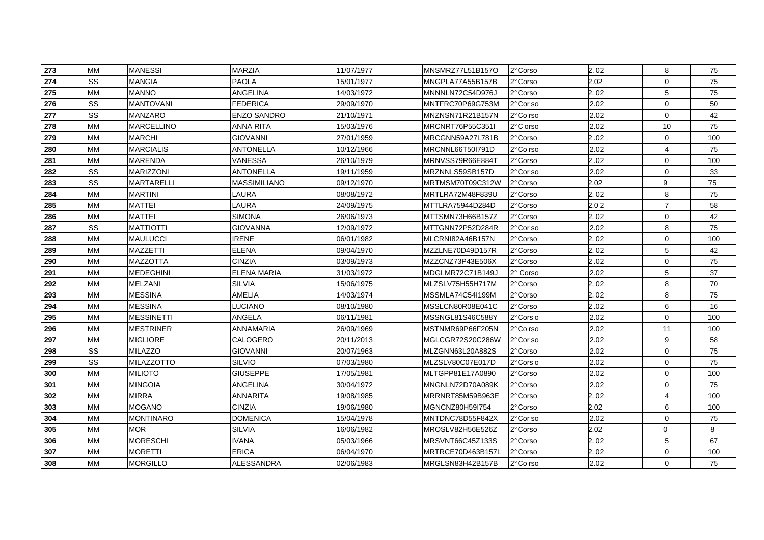| 273 | МM        | <b>MANESSI</b>    | <b>MARZIA</b>       | 11/07/1977 | MNSMRZ77L51B157O  | 2°Corso  | 2.02 | 8              | 75  |
|-----|-----------|-------------------|---------------------|------------|-------------------|----------|------|----------------|-----|
| 274 | <b>SS</b> | MANGIA            | <b>PAOLA</b>        | 15/01/1977 | MNGPLA77A55B157B  | 2°Corso  | 2.02 | 0              | 75  |
| 275 | <b>MM</b> | MANNO             | ANGELINA            | 14/03/1972 | MNNNLN72C54D976J  | 2°Corso  | 2.02 | 5              | 75  |
| 276 | SS        | <b>MANTOVANI</b>  | <b>FEDERICA</b>     | 29/09/1970 | MNTFRC70P69G753M  | 2°Cor so | 2.02 | $\mathbf 0$    | 50  |
| 277 | SS        | <b>MANZARO</b>    | <b>ENZO SANDRO</b>  | 21/10/1971 | MNZNSN71R21B157N  | 2°Co rso | 2.02 | $\mathbf 0$    | 42  |
| 278 | <b>MM</b> | <b>MARCELLINO</b> | ANNA RITA           | 15/03/1976 | MRCNRT76P55C351I  | 2°C orso | 2.02 | 10             | 75  |
| 279 | <b>MM</b> | <b>MARCHI</b>     | <b>GIOVANNI</b>     | 27/01/1959 | MRCGNN59A27L781B  | 2° Corso | 2.02 | $\mathbf 0$    | 100 |
| 280 | <b>MM</b> | <b>MARCIALIS</b>  | <b>ANTONELLA</b>    | 10/12/1966 | MRCNNL66T50I791D  | 2°Co rso | 2.02 | 4              | 75  |
| 281 | MM        | MARENDA           | <b>VANESSA</b>      | 26/10/1979 | MRNVSS79R66E884T  | 2°Corso  | 2.02 | 0              | 100 |
| 282 | SS        | MARIZZONI         | <b>ANTONELLA</b>    | 19/11/1959 | MRZNNLS59SB157D   | 2°Cor so | 2.02 | $\mathbf 0$    | 33  |
| 283 | SS        | MARTARELLI        | <b>MASSIMILIANO</b> | 09/12/1970 | MRTMSM70T09C312W  | 2°Corso  | 2.02 | 9              | 75  |
| 284 | <b>MM</b> | MARTINI           | LAURA               | 08/08/1972 | MRTLRA72M48F839U  | 2°Corso  | 2.02 | 8              | 75  |
| 285 | <b>MM</b> | <b>MATTEI</b>     | LAURA               | 24/09/1975 | MTTLRA75944D284D  | 2° Corso | 2.02 | $\overline{7}$ | 58  |
| 286 | <b>MM</b> | <b>MATTEI</b>     | <b>SIMONA</b>       | 26/06/1973 | MTTSMN73H66B157Z  | 2°Corso  | 2.02 | $\mathbf 0$    | 42  |
| 287 | SS        | MATTIOTTI         | <b>GIOVANNA</b>     | 12/09/1972 | MTTGNN72P52D284R  | 2°Cor so | 2.02 | 8              | 75  |
| 288 | <b>MM</b> | MAULUCCI          | <b>IRENE</b>        | 06/01/1982 | MLCRNI82A46B157N  | 2°Corso  | 2.02 | 0              | 100 |
| 289 | MM        | MAZZETTI          | <b>ELENA</b>        | 09/04/1970 | MZZLNE70D49D157R  | 2°Corso  | 2.02 | 5              | 42  |
| 290 | MM        | MAZZOTTA          | <b>CINZIA</b>       | 03/09/1973 | MZZCNZ73P43E506X  | 2°Corso  | 2.02 | 0              | 75  |
| 291 | <b>MM</b> | MEDEGHINI         | <b>ELENA MARIA</b>  | 31/03/1972 | MDGLMR72C71B149J  | 2° Corso | 2.02 | 5              | 37  |
| 292 | <b>MM</b> | MELZANI           | <b>SILVIA</b>       | 15/06/1975 | MLZSLV75H55H717M  | 2° Corso | 2.02 | 8              | 70  |
| 293 | <b>MM</b> | <b>MESSINA</b>    | AMELIA              | 14/03/1974 | MSSMLA74C54I199M  | 2° Corso | 2.02 | 8              | 75  |
| 294 | MM        | <b>MESSINA</b>    | LUCIANO             | 08/10/1980 | MSSLCN80R08E041C  | 2°Corso  | 2.02 | 6              | 16  |
| 295 | MM        | MESSINETTI        | ANGELA              | 06/11/1981 | MSSNGL81S46C588Y  | 2°Cors o | 2.02 | 0              | 100 |
| 296 | MM        | MESTRINER         | ANNAMARIA           | 26/09/1969 | MSTNMR69P66F205N  | 2°Co rso | 2.02 | 11             | 100 |
| 297 | <b>MM</b> | <b>MIGLIORE</b>   | CALOGERO            | 20/11/2013 | MGLCGR72S20C286W  | 2°Cor so | 2.02 | 9              | 58  |
| 298 | SS        | <b>MILAZZO</b>    | <b>GIOVANNI</b>     | 20/07/1963 | MLZGNN63L20A882S  | 2° Corso | 2.02 | $\mathbf 0$    | 75  |
| 299 | SS        | MILAZZOTTO        | <b>SILVIO</b>       | 07/03/1980 | MLZSLV80C07E017D  | 2°Cors o | 2.02 | $\mathbf 0$    | 75  |
| 300 | <b>MM</b> | <b>MILIOTO</b>    | <b>GIUSEPPE</b>     | 17/05/1981 | MLTGPP81E17A0890  | 2° Corso | 2.02 | 0              | 100 |
| 301 | <b>MM</b> | <b>MINGOIA</b>    | ANGELINA            | 30/04/1972 | MNGNLN72D70A089K  | 2° Corso | 2.02 | 0              | 75  |
| 302 | MM        | <b>MIRRA</b>      | ANNARITA            | 19/08/1985 | MRRNRT85M59B963E  | 2° Corso | 2.02 | 4              | 100 |
| 303 | <b>MM</b> | MOGANO            | <b>CINZIA</b>       | 19/06/1980 | MGNCNZ80H59I754   | 2°Corso  | 2.02 | 6              | 100 |
| 304 | <b>MM</b> | <b>MONTINARO</b>  | <b>DOMENICA</b>     | 15/04/1978 | MNTDNC78D55F842X  | 2°Cor so | 2.02 | $\mathbf 0$    | 75  |
| 305 | <b>MM</b> | <b>MOR</b>        | <b>SILVIA</b>       | 16/06/1982 | MROSLV82H56E526Z  | 2° Corso | 2.02 | 0              | 8   |
| 306 | <b>MM</b> | <b>MORESCHI</b>   | <b>IVANA</b>        | 05/03/1966 | MRSVNT66C45Z133S  | 2°Corso  | 2.02 | 5              | 67  |
| 307 | <b>MM</b> | <b>MORETTI</b>    | <b>ERICA</b>        | 06/04/1970 | MRTRCE70D463B157L | 2°Corso  | 2.02 | 0              | 100 |
| 308 | MM        | <b>MORGILLO</b>   | <b>ALESSANDRA</b>   | 02/06/1983 | MRGLSN83H42B157B  | 2°Co rso | 2.02 | 0              | 75  |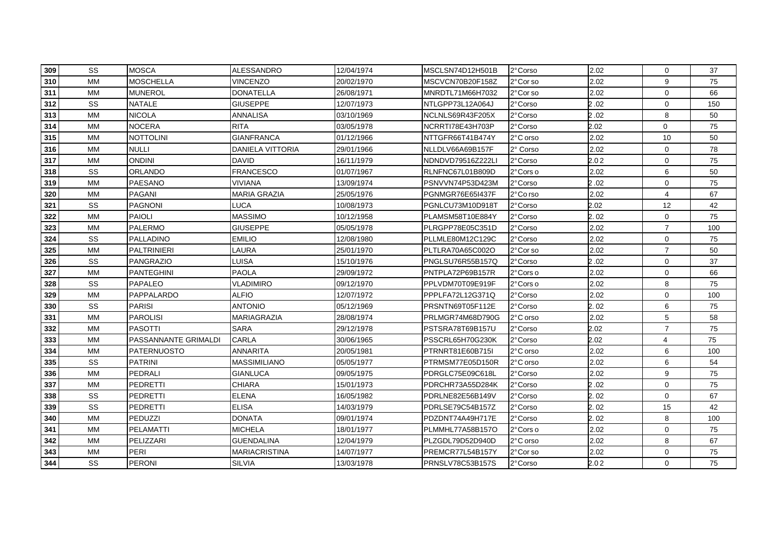| 309 | <b>SS</b> | <b>MOSCA</b>         | <b>ALESSANDRO</b>       | 12/04/1974 | MSCLSN74D12H501B  | 2°Corso  | 2.02 | $\mathbf 0$    | 37  |
|-----|-----------|----------------------|-------------------------|------------|-------------------|----------|------|----------------|-----|
| 310 | <b>MM</b> | <b>MOSCHELLA</b>     | VINCENZO                | 20/02/1970 | MSCVCN70B20F158Z  | 2°Cor so | 2.02 | 9              | 75  |
| 311 | <b>MM</b> | <b>MUNEROL</b>       | <b>DONATELLA</b>        | 26/08/1971 | MNRDTL71M66H7032  | 2°Corso  | 2.02 | $\mathbf 0$    | 66  |
| 312 | SS        | <b>NATALE</b>        | <b>GIUSEPPE</b>         | 12/07/1973 | NTLGPP73L12A064J  | 2° Corso | 2.02 | $\mathbf 0$    | 150 |
| 313 | <b>MM</b> | <b>NICOLA</b>        | <b>ANNALISA</b>         | 03/10/1969 | NCLNLS69R43F205X  | 2° Corso | 2.02 | 8              | 50  |
| 314 | <b>MM</b> | <b>NOCERA</b>        | <b>RITA</b>             | 03/05/1978 | NCRRTI78E43H703P  | 2° Corso | 2.02 | 0              | 75  |
| 315 | <b>MM</b> | <b>NOTTOLINI</b>     | <b>GIANFRANCA</b>       | 01/12/1966 | NTTGFR66T41B474Y  | 2°C orso | 2.02 | 10             | 50  |
| 316 | <b>MM</b> | <b>NULLI</b>         | <b>DANIELA VITTORIA</b> | 29/01/1966 | NLLDLV66A69B157F  | 2° Corso | 2.02 | $\Omega$       | 78  |
| 317 | <b>MM</b> | <b>ONDINI</b>        | <b>DAVID</b>            | 16/11/1979 | NDNDVD79516Z222LI | 2°Corso  | 2.02 | $\Omega$       | 75  |
| 318 | SS        | ORLANDO              | <b>FRANCESCO</b>        | 01/07/1967 | RLNFNC67L01B809D  | 2°Cors o | 2.02 | 6              | 50  |
| 319 | <b>MM</b> | PAESANO              | <b>VIVIANA</b>          | 13/09/1974 | PSNVVN74P53D423M  | 2°Corso  | 2.02 | $\mathbf 0$    | 75  |
| 320 | <b>MM</b> | PAGANI               | <b>MARIA GRAZIA</b>     | 25/05/1976 | PGNMGR76E65I437F  | 2°Co rso | 2.02 | 4              | 67  |
| 321 | SS        | <b>PAGNONI</b>       | LUCA                    | 10/08/1973 | PGNLCU73M10D918T  | 2° Corso | 2.02 | 12             | 42  |
| 322 | <b>MM</b> | <b>PAIOLI</b>        | <b>MASSIMO</b>          | 10/12/1958 | PLAMSM58T10E884Y  | 2° Corso | 2.02 | 0              | 75  |
| 323 | МM        | PALERMO              | <b>GIUSEPPE</b>         | 05/05/1978 | PLRGPP78E05C351D  | 2°Corso  | 2.02 | $\overline{7}$ | 100 |
| 324 | SS        | PALLADINO            | <b>EMILIO</b>           | 12/08/1980 | PLLMLE80M12C129C  | 2°Corso  | 2.02 | 0              | 75  |
| 325 | <b>MM</b> | <b>PALTRINIERI</b>   | LAURA                   | 25/01/1970 | PLTLRA70A65C002O  | 2°Cor so | 2.02 | $\overline{7}$ | 50  |
| 326 | SS        | PANGRAZIO            | LUISA                   | 15/10/1976 | PNGLSU76R55B157Q  | 2°Corso  | 2.02 | $\mathbf 0$    | 37  |
| 327 | <b>MM</b> | <b>PANTEGHINI</b>    | <b>PAOLA</b>            | 29/09/1972 | PNTPLA72P69B157R  | 2°Cors o | 2.02 | 0              | 66  |
| 328 | SS        | <b>PAPALEO</b>       | VLADIMIRO               | 09/12/1970 | PPLVDM70T09E919F  | 2°Cors o | 2.02 | 8              | 75  |
| 329 | <b>MM</b> | PAPPALARDO           | <b>ALFIO</b>            | 12/07/1972 | PPPLFA72L12G371Q  | 2° Corso | 2.02 | 0              | 100 |
| 330 | SS        | <b>PARISI</b>        | <b>ANTONIO</b>          | 05/12/1969 | PRSNTN69T05F112E  | 2°Corso  | 2.02 | 6              | 75  |
| 331 | <b>MM</b> | <b>PAROLISI</b>      | <b>MARIAGRAZIA</b>      | 28/08/1974 | PRLMGR74M68D790G  | 2°C orso | 2.02 | 5              | 58  |
| 332 | <b>MM</b> | <b>PASOTTI</b>       | <b>SARA</b>             | 29/12/1978 | PSTSRA78T69B157U  | 2°Corso  | 2.02 | $\overline{7}$ | 75  |
| 333 | <b>MM</b> | PASSANNANTE GRIMALDI | <b>CARLA</b>            | 30/06/1965 | PSSCRL65H70G230K  | 2°Corso  | 2.02 | $\overline{4}$ | 75  |
| 334 | <b>MM</b> | PATERNUOSTO          | <b>ANNARITA</b>         | 20/05/1981 | PTRNRT81E60B715I  | 2°C orso | 2.02 | 6              | 100 |
| 335 | SS        | <b>PATRINI</b>       | <b>MASSIMILIANO</b>     | 05/05/1977 | PTRMSM77E05D150R  | 2°C orso | 2.02 | 6              | 54  |
| 336 | <b>MM</b> | PEDRALI              | <b>GIANLUCA</b>         | 09/05/1975 | PDRGLC75E09C618L  | 2° Corso | 2.02 | 9              | 75  |
| 337 | <b>MM</b> | PEDRETTI             | <b>CHIARA</b>           | 15/01/1973 | PDRCHR73A55D284K  | 2° Corso | 2.02 | 0              | 75  |
| 338 | SS        | PEDRETTI             | <b>ELENA</b>            | 16/05/1982 | PDRLNE82E56B149V  | 2° Corso | 2.02 | $\mathbf 0$    | 67  |
| 339 | SS        | <b>PEDRETTI</b>      | <b>ELISA</b>            | 14/03/1979 | PDRLSE79C54B157Z  | 2°Corso  | 2.02 | 15             | 42  |
| 340 | <b>MM</b> | <b>PEDUZZI</b>       | <b>DONATA</b>           | 09/01/1974 | PDZDNT74A49H717E  | 2°Corso  | 2.02 | 8              | 100 |
| 341 | <b>MM</b> | <b>PELAMATTI</b>     | <b>MICHELA</b>          | 18/01/1977 | PLMMHL77A58B157O  | 2°Cors o | 2.02 | $\mathbf 0$    | 75  |
| 342 | <b>MM</b> | PELIZZARI            | <b>GUENDALINA</b>       | 12/04/1979 | PLZGDL79D52D940D  | 2°C orso | 2.02 | 8              | 67  |
| 343 | <b>MM</b> | PERI                 | <b>MARIACRISTINA</b>    | 14/07/1977 | PREMCR77L54B157Y  | 2°Cor so | 2.02 | 0              | 75  |
| 344 | SS        | <b>PERONI</b>        | <b>SILVIA</b>           | 13/03/1978 | PRNSLV78C53B157S  | 2° Corso | 2.02 | 0              | 75  |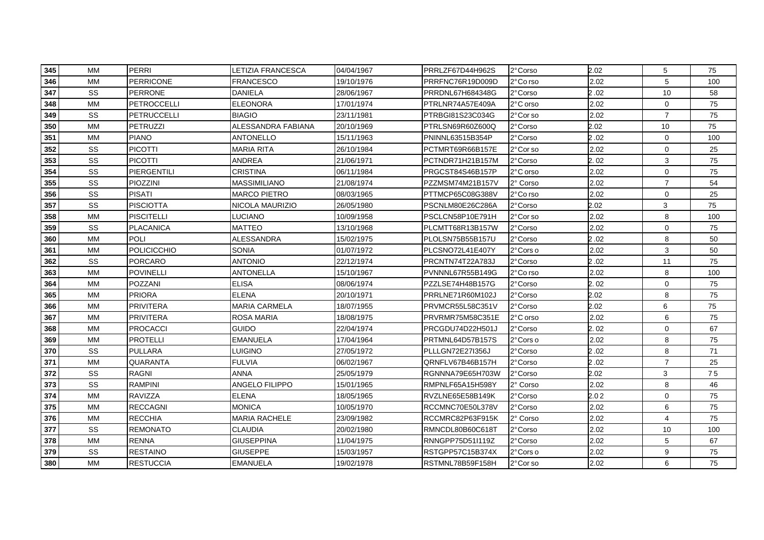| 345 | <b>MM</b> | PERRI              | LETIZIA FRANCESCA     | 04/04/1967 | PRRLZF67D44H962S | 2° Corso | 2.02 | 5              | 75  |
|-----|-----------|--------------------|-----------------------|------------|------------------|----------|------|----------------|-----|
| 346 | <b>MM</b> | PERRICONE          | FRANCESCO             | 19/10/1976 | PRRFNC76R19D009D | 2°Co rso | 2.02 | 5              | 100 |
| 347 | <b>SS</b> | <b>PERRONE</b>     | <b>DANIELA</b>        | 28/06/1967 | PRRDNL67H684348G | 2°Corso  | 2.02 | 10             | 58  |
| 348 | <b>MM</b> | PETROCCELLI        | <b>ELEONORA</b>       | 17/01/1974 | PTRLNR74A57E409A | 2°C orso | 2.02 | $\mathbf 0$    | 75  |
| 349 | SS        | <b>PETRUCCELLI</b> | <b>BIAGIO</b>         | 23/11/1981 | PTRBGI81S23C034G | 2°Corso  | 2.02 | $\overline{7}$ | 75  |
| 350 | <b>MM</b> | PETRUZZI           | ALESSANDRA FABIANA    | 20/10/1969 | PTRLSN69R60Z600Q | 2°Corso  | 2.02 | 10             | 75  |
| 351 | <b>MM</b> | <b>PIANO</b>       | <b>ANTONELLO</b>      | 15/11/1963 | PNINNL63515B354P | 2° Corso | 2.02 | $\mathbf 0$    | 100 |
| 352 | SS        | <b>PICOTTI</b>     | <b>MARIA RITA</b>     | 26/10/1984 | PCTMRT69R66B157E | 2°Cor so | 2.02 | $\mathbf 0$    | 25  |
| 353 | SS        | <b>PICOTTI</b>     | <b>ANDREA</b>         | 21/06/1971 | PCTNDR71H21B157M | 2°Corso  | 2.02 | 3              | 75  |
| 354 | SS        | PIERGENTILI        | <b>CRISTINA</b>       | 06/11/1984 | PRGCST84S46B157P | 2°C orso | 2.02 | $\mathbf 0$    | 75  |
| 355 | SS        | PIOZZINI           | <b>MASSIMILIANO</b>   | 21/08/1974 | PZZMSM74M21B157V | 2° Corso | 2.02 | $\overline{7}$ | 54  |
| 356 | SS        | <b>PISATI</b>      | <b>MARCO PIETRO</b>   | 08/03/1965 | PTTMCP65C08G388V | 2°Co rso | 2.02 | 0              | 25  |
| 357 | SS        | <b>PISCIOTTA</b>   | NICOLA MAURIZIO       | 26/05/1980 | PSCNLM80E26C286A | 2° Corso | 2.02 | 3              | 75  |
| 358 | <b>MM</b> | <b>PISCITELLI</b>  | LUCIANO               | 10/09/1958 | PSCLCN58P10E791H | 2°Cor so | 2.02 | 8              | 100 |
| 359 | SS        | PLACANICA          | MATTEO                | 13/10/1968 | PLCMTT68R13B157W | 2°Corso  | 2.02 | 0              | 75  |
| 360 | <b>MM</b> | POLI               | ALESSANDRA            | 15/02/1975 | PLOLSN75B55B157U | 2°Corso  | 2.02 | 8              | 50  |
| 361 | MM        | <b>POLICICCHIO</b> | <b>SONIA</b>          | 01/07/1972 | PLCSNO72L41E407Y | 2°Cors o | 2.02 | 3              | 50  |
| 362 | SS        | <b>PORCARO</b>     | <b>ANTONIO</b>        | 22/12/1974 | PRCNTN74T22A783J | 2°Corso  | 2.02 | 11             | 75  |
| 363 | <b>MM</b> | POVINELLI          | <b>ANTONELLA</b>      | 15/10/1967 | PVNNNL67R55B149G | 2°Co rso | 2.02 | 8              | 100 |
| 364 | <b>MM</b> | <b>POZZANI</b>     | <b>ELISA</b>          | 08/06/1974 | PZZLSE74H48B157G | 2°Corso  | 2.02 | $\mathbf 0$    | 75  |
| 365 | <b>MM</b> | <b>PRIORA</b>      | <b>ELENA</b>          | 20/10/1971 | PRRLNE71R60M102J | 2° Corso | 2.02 | 8              | 75  |
| 366 | MM        | <b>PRIVITERA</b>   | <b>MARIA CARMELA</b>  | 18/07/1955 | PRVMCR55L58C351V | 2°Corso  | 2.02 | 6              | 75  |
| 367 | MM        | PRIVITERA          | ROSA MARIA            | 18/08/1975 | PRVRMR75M58C351E | 2°C orso | 2.02 | 6              | 75  |
| 368 | MM        | <b>PROCACCI</b>    | <b>GUIDO</b>          | 22/04/1974 | PRCGDU74D22H501J | 2°Corso  | 2.02 | 0              | 67  |
| 369 | <b>MM</b> | <b>PROTELLI</b>    | <b>EMANUELA</b>       | 17/04/1964 | PRTMNL64D57B157S | 2°Cors o | 2.02 | 8              | 75  |
| 370 | SS        | <b>PULLARA</b>     | LUIGINO               | 27/05/1972 | PLLLGN72E27I356J | 2°Corso  | 2.02 | 8              | 71  |
| 371 | <b>MM</b> | <b>QUARANTA</b>    | <b>FULVIA</b>         | 06/02/1967 | QRNFLV67B46B157H | 2°Corso  | 2.02 | $\overline{7}$ | 25  |
| 372 | SS        | <b>RAGNI</b>       | <b>ANNA</b>           | 25/05/1979 | RGNNNA79E65H703W | 2° Corso | 2.02 | 3              | 75  |
| 373 | SS        | <b>RAMPINI</b>     | <b>ANGELO FILIPPO</b> | 15/01/1965 | RMPNLF65A15H598Y | 2° Corso | 2.02 | 8              | 46  |
| 374 | <b>MM</b> | RAVIZZA            | ELENA                 | 18/05/1965 | RVZLNE65E58B149K | 2°Corso  | 2.02 | 0              | 75  |
| 375 | <b>MM</b> | <b>RECCAGNI</b>    | <b>MONICA</b>         | 10/05/1970 | RCCMNC70E50L378V | 2°Corso  | 2.02 | 6              | 75  |
| 376 | <b>MM</b> | <b>RECCHIA</b>     | MARIA RACHELE         | 23/09/1982 | RCCMRC82P63F915K | 2° Corso | 2.02 | 4              | 75  |
| 377 | SS        | <b>REMONATO</b>    | <b>CLAUDIA</b>        | 20/02/1980 | RMNCDL80B60C618T | 2°Corso  | 2.02 | 10             | 100 |
| 378 | <b>MM</b> | <b>RENNA</b>       | <b>GIUSEPPINA</b>     | 11/04/1975 | RNNGPP75D51I119Z | 2° Corso | 2.02 | 5              | 67  |
| 379 | SS        | <b>RESTAINO</b>    | <b>GIUSEPPE</b>       | 15/03/1957 | RSTGPP57C15B374X | 2°Cors o | 2.02 | 9              | 75  |
| 380 | <b>MM</b> | <b>RESTUCCIA</b>   | <b>EMANUELA</b>       | 19/02/1978 | RSTMNL78B59F158H | 2°Corso  | 2.02 | 6              | 75  |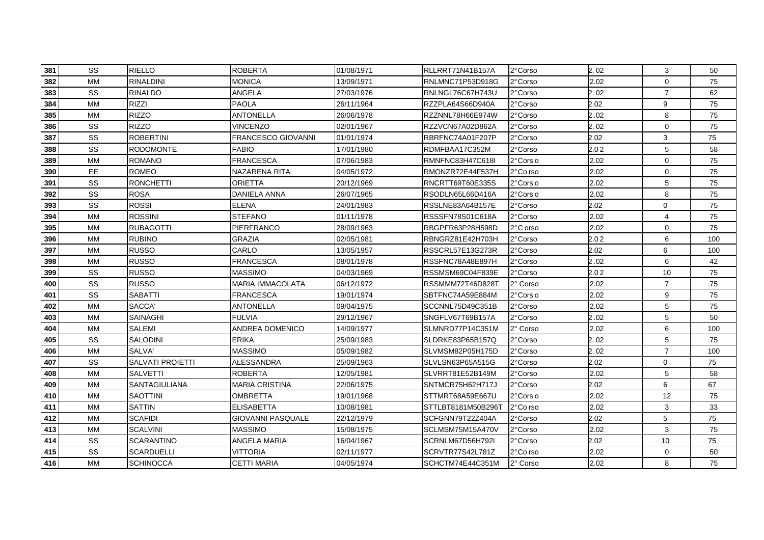| 381 | <b>SS</b> | <b>RIELLO</b>           | <b>ROBERTA</b>           | 01/08/1971 | RLLRRT71N41B157A   | 2°Corso   | 2.02 | 3              | 50  |
|-----|-----------|-------------------------|--------------------------|------------|--------------------|-----------|------|----------------|-----|
| 382 | <b>MM</b> | <b>RINALDINI</b>        | MONICA                   | 13/09/1971 | RNLMNC71P53D918G   | 2°Corso   | 2.02 | $\mathbf 0$    | 75  |
| 383 | SS        | <b>RINALDO</b>          | <b>ANGELA</b>            | 27/03/1976 | RNLNGL76C67H743U   | 2°Corso   | 2.02 | $\overline{7}$ | 62  |
| 384 | <b>MM</b> | <b>RIZZI</b>            | <b>PAOLA</b>             | 26/11/1964 | RZZPLA64S66D940A   | 2° Corso  | 2.02 | 9              | 75  |
| 385 | <b>MM</b> | <b>RIZZO</b>            | <b>ANTONELLA</b>         | 26/06/1978 | RZZNNL78H66E974W   | 2°Corso   | 2.02 | 8              | 75  |
| 386 | SS        | <b>RIZZO</b>            | <b>VINCENZO</b>          | 02/01/1967 | RZZVCN67A02D862A   | 2° Corso  | 2.02 | $\mathbf 0$    | 75  |
| 387 | SS        | <b>ROBERTINI</b>        | FRANCESCO GIOVANNI       | 01/01/1974 | RBRFNC74A01F207P   | 2°Corso   | 2.02 | 3              | 75  |
| 388 | SS        | <b>RODOMONTE</b>        | <b>FABIO</b>             | 17/01/1980 | RDMFBAA17C352M     | 2°Corso   | 2.02 | 5              | 58  |
| 389 | <b>MM</b> | <b>ROMANO</b>           | <b>FRANCESCA</b>         | 07/06/1983 | RMNFNC83H47C618I   | 2°Cors o  | 2.02 | $\Omega$       | 75  |
| 390 | EE        | <b>ROMEO</b>            | NAZARENA RITA            | 04/05/1972 | RMONZR72E44F537H   | 2°Co rso  | 2.02 | $\mathbf 0$    | 75  |
| 391 | SS        | <b>RONCHETTI</b>        | <b>ORIETTA</b>           | 20/12/1969 | RNCRTT69T60E335S   | 2° Cors o | 2.02 | 5              | 75  |
| 392 | SS        | <b>ROSA</b>             | DANIELA ANNA             | 26/07/1965 | RSODLN65L66D416A   | 2°Corso   | 2.02 | 8              | 75  |
| 393 | SS        | <b>ROSSI</b>            | <b>ELENA</b>             | 24/01/1983 | RSSLNE83A64B157E   | 2° Corso  | 2.02 | 0              | 75  |
| 394 | <b>MM</b> | <b>ROSSINI</b>          | <b>STEFANO</b>           | 01/11/1978 | RSSSFN78S01C618A   | 2°Corso   | 2.02 | 4              | 75  |
| 395 | МM        | RUBAGOTTI               | PIERFRANCO               | 28/09/1963 | RBGPFR63P28H598D   | 2°C orso  | 2.02 | $\mathbf 0$    | 75  |
| 396 | <b>MM</b> | <b>RUBINO</b>           | <b>GRAZIA</b>            | 02/05/1981 | RBNGRZ81E42H703H   | 2°Corso   | 2.02 | 6              | 100 |
| 397 | <b>MM</b> | <b>RUSSO</b>            | CARLO                    | 13/05/1957 | RSSCRL57E13G273R   | 2°Corso   | 2.02 | 6              | 100 |
| 398 | <b>MM</b> | <b>RUSSO</b>            | <b>FRANCESCA</b>         | 08/01/1978 | RSSFNC78A48E897H   | 2°Corso   | 2.02 | 6              | 42  |
| 399 | SS        | <b>RUSSO</b>            | <b>MASSIMO</b>           | 04/03/1969 | RSSMSM69C04F839E   | 2°Corso   | 2.02 | 10             | 75  |
| 400 | SS        | <b>RUSSO</b>            | <b>MARIA IMMACOLATA</b>  | 06/12/1972 | RSSMMM72T46D828T   | 2° Corso  | 2.02 | $\overline{7}$ | 75  |
| 401 | SS        | <b>SABATTI</b>          | <b>FRANCESCA</b>         | 19/01/1974 | SBTFNC74A59E884M   | 2°Cors o  | 2.02 | 9              | 75  |
| 402 | <b>MM</b> | SACCA'                  | <b>ANTONELLA</b>         | 09/04/1975 | SCCNNL75D49C351B   | 2°Corso   | 2.02 | 5              | 75  |
| 403 | <b>MM</b> | <b>SAINAGHI</b>         | <b>FULVIA</b>            | 29/12/1967 | SNGFLV67T69B157A   | 2°Corso   | 2.02 | 5              | 50  |
| 404 | <b>MM</b> | <b>SALEMI</b>           | <b>ANDREA DOMENICO</b>   | 14/09/1977 | SLMNRD77P14C351M   | 2° Corso  | 2.02 | 6              | 100 |
| 405 | SS        | <b>SALODINI</b>         | <b>ERIKA</b>             | 25/09/1983 | SLDRKE83P65B157Q   | 2°Corso   | 2.02 | 5              | 75  |
| 406 | <b>MM</b> | SALVA'                  | <b>MASSIMO</b>           | 05/09/1982 | SLVMSM82P05H175D   | 2°Corso   | 2.02 | $\overline{7}$ | 100 |
| 407 | SS        | <b>SALVATI PROIETTI</b> | <b>ALESSANDRA</b>        | 25/09/1963 | SLVLSN63P65A515G   | 2° Corso  | 2.02 | $\mathbf 0$    | 75  |
| 408 | <b>MM</b> | <b>SALVETTI</b>         | <b>ROBERTA</b>           | 12/05/1981 | SLVRRT81E52B149M   | 2° Corso  | 2.02 | 5              | 58  |
| 409 | <b>MM</b> | SANTAGIULIANA           | <b>MARIA CRISTINA</b>    | 22/06/1975 | SNTMCR75H62H717J   | 2° Corso  | 2.02 | 6              | 67  |
| 410 | <b>MM</b> | <b>SAOTTINI</b>         | <b>OMBRETTA</b>          | 19/01/1968 | STTMRT68A59E667U   | 2°Cors o  | 2.02 | 12             | 75  |
| 411 | <b>MM</b> | <b>SATTIN</b>           | <b>ELISABETTA</b>        | 10/08/1981 | STTLBT8181M50B296T | 2°Co rso  | 2.02 | 3              | 33  |
| 412 | <b>MM</b> | <b>SCAFIDI</b>          | <b>GIOVANNI PASQUALE</b> | 22/12/1979 | SCFGNN79T22Z404A   | 2°Corso   | 2.02 | 5              | 75  |
| 413 | <b>MM</b> | <b>SCALVINI</b>         | <b>MASSIMO</b>           | 15/08/1975 | SCLMSM75M15A470V   | 2°Corso   | 2.02 | 3              | 75  |
| 414 | SS        | <b>SCARANTINO</b>       | ANGELA MARIA             | 16/04/1967 | SCRNLM67D56H792I   | 2° Corso  | 2.02 | 10             | 75  |
| 415 | SS        | <b>SCARDUELLI</b>       | <b>VITTORIA</b>          | 02/11/1977 | SCRVTR77S42L781Z   | 2°Co rso  | 2.02 | $\mathbf 0$    | 50  |
| 416 | <b>MM</b> | <b>SCHINOCCA</b>        | <b>CETTI MARIA</b>       | 04/05/1974 | SCHCTM74E44C351M   | 2° Corso  | 2.02 | 8              | 75  |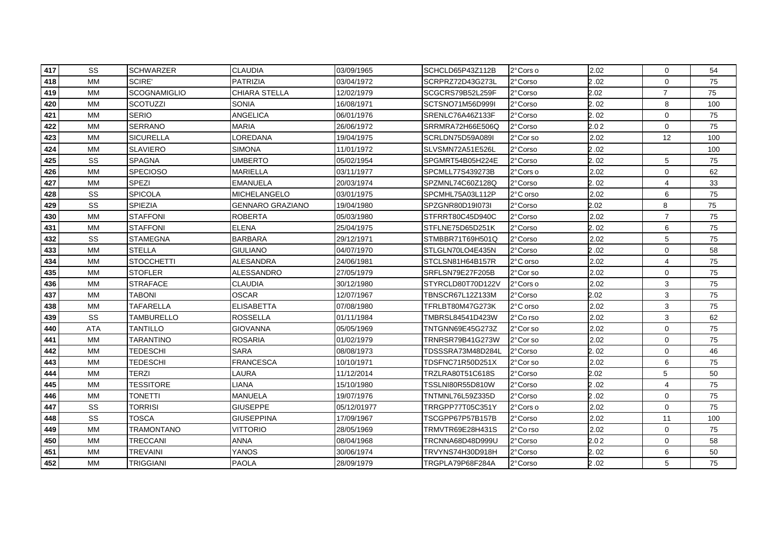| 417 | SS         | <b>SCHWARZER</b>  | <b>CLAUDIA</b>          | 03/09/1965  | SCHCLD65P43Z112B  | 2°Cors o  | 2.02 | $\mathbf 0$    | 54  |
|-----|------------|-------------------|-------------------------|-------------|-------------------|-----------|------|----------------|-----|
| 418 | МM         | <b>SCIRE'</b>     | <b>PATRIZIA</b>         | 03/04/1972  | SCRPRZ72D43G273L  | 2°Corso   | 2.02 | $\mathbf 0$    | 75  |
| 419 | MМ         | SCOGNAMIGLIO      | CHIARA STELLA           | 12/02/1979  | SCGCRS79B52L259F  | 2°Corso   | 2.02 | $\overline{7}$ | 75  |
| 420 | <b>MM</b>  | <b>SCOTUZZI</b>   | <b>SONIA</b>            | 16/08/1971  | SCTSNO71M56D999I  | 2° Corso  | 2.02 | 8              | 100 |
| 421 | <b>MM</b>  | <b>SERIO</b>      | <b>ANGELICA</b>         | 06/01/1976  | SRENLC76A46Z133F  | 2°Corso   | 2.02 | $\mathbf 0$    | 75  |
| 422 | <b>MM</b>  | <b>SERRANO</b>    | <b>MARIA</b>            | 26/06/1972  | SRRMRA72H66E506Q  | 2° Corso  | 2.02 | $\mathbf 0$    | 75  |
| 423 | MM         | <b>SICURELLA</b>  | LOREDANA                | 19/04/1975  | SCRLDN75D59A089I  | 2°Cor so  | 2.02 | 12             | 100 |
| 424 | MM         | <b>SLAVIERO</b>   | SIMONA                  | 11/01/1972  | SLVSMN72A51E526L  | 2°Corso   | 2.02 |                | 100 |
| 425 | SS         | <b>SPAGNA</b>     | <b>UMBERTO</b>          | 05/02/1954  | SPGMRT54B05H224E  | 2°Corso   | 2.02 | 5              | 75  |
| 426 | MM         | <b>SPECIOSO</b>   | <b>MARIELLA</b>         | 03/11/1977  | SPCMLL77S439273B  | 2°Corso   | 2.02 | $\mathbf 0$    | 62  |
| 427 | <b>MM</b>  | SPEZI             | <b>EMANUELA</b>         | 20/03/1974  | SPZMNL74C60Z128Q  | 2° Corso  | 2.02 | $\overline{4}$ | 33  |
| 428 | SS         | <b>SPICOLA</b>    | MICHELANGELO            | 03/01/1975  | SPCMHL75A03L112P  | 2°C orso  | 2.02 | 6              | 75  |
| 429 | SS         | SPIEZIA           | <b>GENNARO GRAZIANO</b> | 19/04/1980  | SPZGNR80D19I073I  | 2° Corso  | 2.02 | 8              | 75  |
| 430 | <b>MM</b>  | <b>STAFFONI</b>   | <b>ROBERTA</b>          | 05/03/1980  | STFRRT80C45D940C  | 2°Corso   | 2.02 | $\overline{7}$ | 75  |
| 431 | МM         | STAFFONI          | ELENA                   | 25/04/1975  | STFLNE75D65D251K  | 2°Corso   | 2.02 | 6              | 75  |
| 432 | SS         | STAMEGNA          | <b>BARBARA</b>          | 29/12/1971  | STMBBR71T69H501Q  | 2°Corso   | 2.02 | 5              | 75  |
| 433 | МM         | <b>STELLA</b>     | <b>GIULIANO</b>         | 04/07/1970  | STLGLN70LO4E435N  | 2°Corso   | 2.02 | $\mathbf 0$    | 58  |
| 434 | <b>MM</b>  | <b>STOCCHETTI</b> | <b>ALESANDRA</b>        | 24/06/1981  | STCLSN81H64B157R  | 2°C orso  | 2.02 | 4              | 75  |
| 435 | <b>MM</b>  | <b>STOFLER</b>    | <b>ALESSANDRO</b>       | 27/05/1979  | SRFLSN79E27F205B  | 2°Cor so  | 2.02 | $\mathbf 0$    | 75  |
| 436 | <b>MM</b>  | <b>STRAFACE</b>   | <b>CLAUDIA</b>          | 30/12/1980  | STYRCLD80T70D122V | 2° Cors o | 2.02 | 3              | 75  |
| 437 | <b>MM</b>  | <b>TABONI</b>     | <b>OSCAR</b>            | 12/07/1967  | TBNSCR67L12Z133M  | 2°Corso   | 2.02 | 3              | 75  |
| 438 | МM         | TAFARELLA         | <b>ELISABETTA</b>       | 07/08/1980  | TFRLBT80M47G273K  | 2°C orso  | 2.02 | 3              | 75  |
| 439 | SS         | <b>TAMBURELLO</b> | <b>ROSSELLA</b>         | 01/11/1984  | TMBRSL84541D423W  | 2°Co rso  | 2.02 | 3              | 62  |
| 440 | <b>ATA</b> | TANTILLO          | <b>GIOVANNA</b>         | 05/05/1969  | TNTGNN69E45G273Z  | 2°Cor so  | 2.02 | $\mathbf 0$    | 75  |
| 441 | <b>MM</b>  | <b>TARANTINO</b>  | <b>ROSARIA</b>          | 01/02/1979  | TRNRSR79B41G273W  | 2°Cor so  | 2.02 | $\mathbf 0$    | 75  |
| 442 | <b>MM</b>  | TEDESCHI          | <b>SARA</b>             | 08/08/1973  | TDSSSRA73M48D284L | 2° Corso  | 2.02 | $\mathbf 0$    | 46  |
| 443 | MM         | TEDESCHI          | <b>FRANCESCA</b>        | 10/10/1971  | TDSFNC71R50D251X  | 2°Cor so  | 2.02 | 6              | 75  |
| 444 | <b>MM</b>  | <b>TERZI</b>      | LAURA                   | 11/12/2014  | TRZLRA80T51C618S  | 2° Corso  | 2.02 | 5              | 50  |
| 445 | <b>MM</b>  | <b>TESSITORE</b>  | LIANA                   | 15/10/1980  | TSSLNI80R55D810W  | 2° Corso  | 2.02 | 4              | 75  |
| 446 | МM         | TONETTI           | <b>MANUELA</b>          | 19/07/1976  | TNTMNL76L59Z335D  | 2°Corso   | 2.02 | $\mathbf 0$    | 75  |
| 447 | SS         | TORRISI           | <b>GIUSEPPE</b>         | 05/12/01977 | TRRGPP77T05C351Y  | 2° Cors o | 2.02 | $\mathbf 0$    | 75  |
| 448 | SS         | TOSCA             | <b>GIUSEPPINA</b>       | 17/09/1967  | TSCGPP67P57B157B  | 2°Corso   | 2.02 | 11             | 100 |
| 449 | <b>MM</b>  | <b>TRAMONTANO</b> | <b>VITTORIO</b>         | 28/05/1969  | TRMVTR69E28H431S  | 2°Co rso  | 2.02 | $\mathbf 0$    | 75  |
| 450 | <b>MM</b>  | <b>TRECCANI</b>   | <b>ANNA</b>             | 08/04/1968  | TRCNNA68D48D999U  | 2°Corso   | 2.02 | $\mathbf 0$    | 58  |
| 451 | <b>MM</b>  | <b>TREVAINI</b>   | YANOS                   | 30/06/1974  | TRVYNS74H30D918H  | 2° Corso  | 2.02 | 6              | 50  |
| 452 | МM         | <b>TRIGGIANI</b>  | <b>PAOLA</b>            | 28/09/1979  | TRGPLA79P68F284A  | 2° Corso  | 2.02 | 5              | 75  |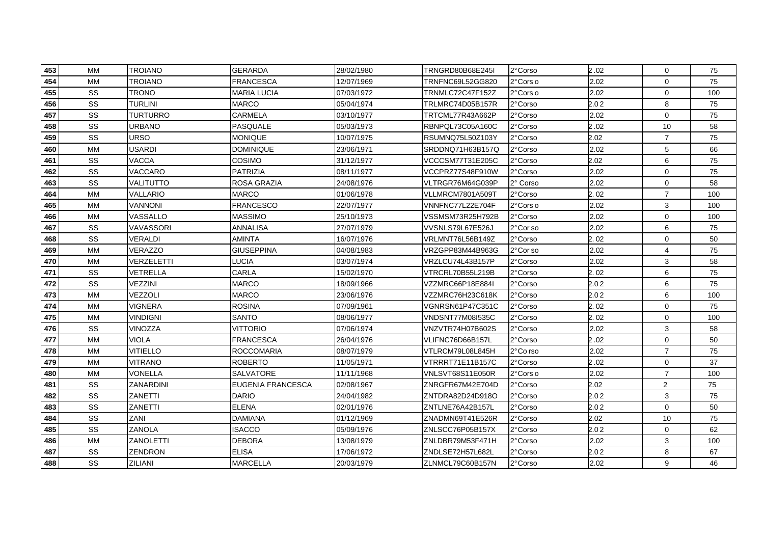| 453 | <b>MM</b> | <b>TROIANO</b>   | <b>GERARDA</b>           | 28/02/1980 | TRNGRD80B68E245I | 2°Corso   | 2.02 | $\mathbf 0$    | 75  |
|-----|-----------|------------------|--------------------------|------------|------------------|-----------|------|----------------|-----|
| 454 | <b>MM</b> | TROIANO          | <b>FRANCESCA</b>         | 12/07/1969 | TRNFNC69L52GG820 | 2° Cors o | 2.02 | 0              | 75  |
| 455 | SS        | TRONO            | <b>MARIA LUCIA</b>       | 07/03/1972 | TRNMLC72C47F152Z | 2°Cors o  | 2.02 | $\mathbf 0$    | 100 |
| 456 | SS        | <b>TURLINI</b>   | <b>MARCO</b>             | 05/04/1974 | TRLMRC74D05B157R | 2°Corso   | 2.02 | 8              | 75  |
| 457 | SS        | <b>TURTURRO</b>  | CARMELA                  | 03/10/1977 | TRTCML77R43A662P | 2°Corso   | 2.02 | $\mathbf 0$    | 75  |
| 458 | SS        | URBANO           | PASQUALE                 | 05/03/1973 | RBNPQL73C05A160C | 2°Corso   | 2.02 | 10             | 58  |
| 459 | SS        | <b>URSO</b>      | <b>MONIQUE</b>           | 10/07/1975 | RSUMNQ75L50Z103Y | 2°Corso   | 2.02 | $\overline{7}$ | 75  |
| 460 | <b>MM</b> | <b>USARDI</b>    | <b>DOMINIQUE</b>         | 23/06/1971 | SRDDNQ71H63B157Q | 2°Corso   | 2.02 | 5              | 66  |
| 461 | SS        | <b>VACCA</b>     | COSIMO                   | 31/12/1977 | VCCCSM77T31E205C | 2°Corso   | 2.02 | 6              | 75  |
| 462 | SS        | VACCARO          | <b>PATRIZIA</b>          | 08/11/1977 | VCCPRZ77S48F910W | 2°Corso   | 2.02 | $\mathbf 0$    | 75  |
| 463 | SS        | VALITUTTO        | ROSA GRAZIA              | 24/08/1976 | VLTRGR76M64G039P | 2° Corso  | 2.02 | $\mathbf 0$    | 58  |
| 464 | <b>MM</b> | VALLARIO         | <b>MARCO</b>             | 01/06/1978 | VLLMRCM7801A509T | 2°Corso   | 2.02 | $\overline{7}$ | 100 |
| 465 | <b>MM</b> | VANNONI          | <b>FRANCESCO</b>         | 22/07/1977 | VNNFNC77L22E704F | 2°Cors o  | 2.02 | 3              | 100 |
| 466 | <b>MM</b> | VASSALLO         | <b>MASSIMO</b>           | 25/10/1973 | VSSMSM73R25H792B | 2°Corso   | 2.02 | $\mathbf 0$    | 100 |
| 467 | SS        | VAVASSORI        | ANNALISA                 | 27/07/1979 | VVSNLS79L67E526J | 2°Cor so  | 2.02 | 6              | 75  |
| 468 | SS        | VERALDI          | AMINTA                   | 16/07/1976 | VRLMNT76L56B149Z | 2°Corso   | 2.02 | $\mathbf 0$    | 50  |
| 469 | <b>MM</b> | VERAZZO          | <b>GIUSEPPINA</b>        | 04/08/1983 | VRZGPP83M44B963G | 2°Cor so  | 2.02 | 4              | 75  |
| 470 | MM        | VERZELETTI       | LUCIA                    | 03/07/1974 | VRZLCU74L43B157P | 2° Corso  | 2.02 | 3              | 58  |
| 471 | SS        | VETRELLA         | CARLA                    | 15/02/1970 | VTRCRL70B55L219B | 2° Corso  | 2.02 | 6              | 75  |
| 472 | SS        | VEZZINI          | <b>MARCO</b>             | 18/09/1966 | VZZMRC66P18E884I | 2°Corso   | 2.02 | 6              | 75  |
| 473 | <b>MM</b> | VEZZOLI          | <b>MARCO</b>             | 23/06/1976 | VZZMRC76H23C618K | 2° Corso  | 2.02 | 6              | 100 |
| 474 | <b>MM</b> | <b>VIGNERA</b>   | <b>ROSINA</b>            | 07/09/1961 | VGNRSN61P47C351C | 2° Corso  | 2.02 | 0              | 75  |
| 475 | MM        | Vindigni         | SANTO                    | 08/06/1977 | VNDSNT77M08I535C | 2°Corso   | 2.02 | 0              | 100 |
| 476 | SS        | VINOZZA          | <b>VITTORIO</b>          | 07/06/1974 | VNZVTR74H07B602S | 2°Corso   | 2.02 | 3              | 58  |
| 477 | <b>MM</b> | <b>VIOLA</b>     | <b>FRANCESCA</b>         | 26/04/1976 | VLIFNC76D66B157L | 2°Corso   | 2.02 | $\mathbf 0$    | 50  |
| 478 | <b>MM</b> | VITIELLO         | <b>ROCCOMARIA</b>        | 08/07/1979 | VTLRCM79L08L845H | 2°Co rso  | 2.02 | $\overline{7}$ | 75  |
| 479 | <b>MM</b> | <b>VITRANO</b>   | <b>ROBERTO</b>           | 11/05/1971 | VTRRRT71E11B157C | 2° Corso  | 2.02 | $\mathbf 0$    | 37  |
| 480 | <b>MM</b> | VONELLA          | SALVATORE                | 11/11/1968 | VNLSVT68S11E050R | 2°Cors o  | 2.02 | $\overline{7}$ | 100 |
| 481 | SS        | ZANARDINI        | <b>EUGENIA FRANCESCA</b> | 02/08/1967 | ZNRGFR67M42E704D | 2° Corso  | 2.02 | $\overline{2}$ | 75  |
| 482 | SS        | ZANETTI          | DARIO                    | 24/04/1982 | ZNTDRA82D24D918O | 2°Corso   | 2.02 | 3              | 75  |
| 483 | SS        | ZANETTI          | <b>ELENA</b>             | 02/01/1976 | ZNTLNE76A42B157L | 2°Corso   | 2.02 | $\mathbf 0$    | 50  |
| 484 | SS        | ZANI             | <b>DAMIANA</b>           | 01/12/1969 | ZNADMN69T41E526R | 2°Corso   | 2.02 | 10             | 75  |
| 485 | SS        | ZANOLA           | <b>ISACCO</b>            | 05/09/1976 | ZNLSCC76P05B157X | 2°Corso   | 2.02 | $\mathbf 0$    | 62  |
| 486 | <b>MM</b> | <b>ZANOLETTI</b> | <b>DEBORA</b>            | 13/08/1979 | ZNLDBR79M53F471H | 2° Corso  | 2.02 | 3              | 100 |
| 487 | SS        | ZENDRON          | <b>ELISA</b>             | 17/06/1972 | ZNDLSE72H57L682L | 2° Corso  | 2.02 | 8              | 67  |
| 488 | SS        | ZILIANI          | <b>MARCELLA</b>          | 20/03/1979 | ZLNMCL79C60B157N | 2° Corso  | 2.02 | 9              | 46  |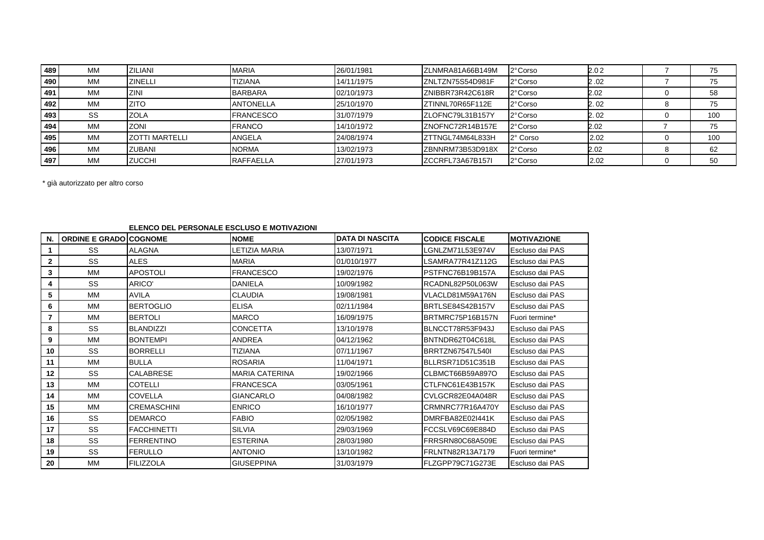| 489 | MМ | ZILIANI                | <b>MARIA</b>     | 26/01/1981 | IZLNMRA81A66B149M | 2° Corso | 2.02 | 75  |
|-----|----|------------------------|------------------|------------|-------------------|----------|------|-----|
| 490 | MM | <b>ZINELLI</b>         | <b>TIZIANA</b>   | 14/11/1975 | ZNLTZN75S54D981F  | 2° Corso | 2.02 | 75  |
| 491 | MM | ZINI                   | <b>BARBARA</b>   | 02/10/1973 | ZNIBBR73R42C618R  | 2° Corso | 2.02 | 58  |
| 492 | MM | <b>ZITO</b>            | <b>ANTONELLA</b> | 25/10/1970 | ZTINNL70R65F112E  | 2° Corso | 2.02 | 75  |
| 493 | SS | <b>ZOLA</b>            | <b>FRANCESCO</b> | 31/07/1979 | IZLOFNC79L31B157Y | 2° Corso | 2.02 | 100 |
| 494 | MM | <b>ZONI</b>            | <b>FRANCO</b>    | 14/10/1972 | ZNOFNC72R14B157E  | 2° Corso | 2.02 | 75  |
| 495 | MM | <b>IZOTTI MARTELLI</b> | ANGELA           | 24/08/1974 | ZTTNGL74M64L833H  | 2° Corso | 2.02 | 100 |
| 496 | MM | <b>ZUBANI</b>          | <b>NORMA</b>     | 13/02/1973 | ZBNNRM73B53D918X  | 2° Corso | 2.02 | 62  |
| 497 | MM | <b>ZUCCHI</b>          | <b>RAFFAELLA</b> | 27/01/1973 | IZCCRFL73A67B157I | 2° Corso | 2.02 | 50  |

\* già autorizzato per altro corso

## **ELENCO DEL PERSONALE ESCLUSO E MOTIVAZIONI**

| N.           | <b>ORDINE E GRADO COGNOME</b> |                    | <b>NOME</b>           | <b>IDATA DI NASCITA</b> | <b>CODICE FISCALE</b> | <b>MOTIVAZIONE</b> |
|--------------|-------------------------------|--------------------|-----------------------|-------------------------|-----------------------|--------------------|
|              | SS                            | <b>ALAGNA</b>      | LETIZIA MARIA         | 13/07/1971              | LGNLZM71L53E974V      | Escluso dai PAS    |
| $\mathbf{2}$ | SS                            | <b>ALES</b>        | <b>MARIA</b>          | 01/010/1977             | LSAMRA77R41Z112G      | Escluso dai PAS    |
| 3            | MM                            | <b>APOSTOLI</b>    | <b>FRANCESCO</b>      | 19/02/1976              | PSTFNC76B19B157A      | Escluso dai PAS    |
| 4            | SS                            | ARICO'             | <b>DANIELA</b>        | 10/09/1982              | RCADNL82P50L063W      | Escluso dai PAS    |
| 5            | MM                            | <b>AVILA</b>       | <b>CLAUDIA</b>        | 19/08/1981              | VLACLD81M59A176N      | Escluso dai PAS    |
| 6            | MM                            | <b>BERTOGLIO</b>   | <b>ELISA</b>          | 02/11/1984              | BRTLSE84S42B157V      | Escluso dai PAS    |
|              | <b>MM</b>                     | <b>BERTOLI</b>     | <b>MARCO</b>          | 16/09/1975              | BRTMRC75P16B157N      | Fuori termine*     |
| 8            | SS                            | <b>BLANDIZZI</b>   | <b>CONCETTA</b>       | 13/10/1978              | BLNCCT78R53F943J      | Escluso dai PAS    |
| 9            | MM                            | <b>BONTEMPI</b>    | <b>ANDREA</b>         | 04/12/1962              | BNTNDR62T04C618L      | Escluso dai PAS    |
| 10           | SS                            | <b>BORRELLI</b>    | <b>TIZIANA</b>        | 07/11/1967              | BRRTZN67547L540I      | Escluso dai PAS    |
| 11           | <b>MM</b>                     | <b>BULLA</b>       | <b>ROSARIA</b>        | 11/04/1971              | BLLRSR71D51C351B      | Escluso dai PAS    |
| 12           | SS                            | <b>CALABRESE</b>   | <b>MARIA CATERINA</b> | 19/02/1966              | CLBMCT66B59A897O      | Escluso dai PAS    |
| 13           | MM                            | <b>COTELLI</b>     | <b>FRANCESCA</b>      | 03/05/1961              | CTLFNC61E43B157K      | Escluso dai PAS    |
| 14           | MM                            | <b>COVELLA</b>     | <b>GIANCARLO</b>      | 04/08/1982              | CVLGCR82E04A048R      | Escluso dai PAS    |
| 15           | MM                            | <b>CREMASCHINI</b> | <b>ENRICO</b>         | 16/10/1977              | CRMNRC77R16A470Y      | Escluso dai PAS    |
| 16           | SS                            | <b>DEMARCO</b>     | <b>FABIO</b>          | 02/05/1982              | DMRFBA82E02I441K      | Escluso dai PAS    |
| 17           | SS                            | <b>FACCHINETTI</b> | <b>SILVIA</b>         | 29/03/1969              | FCCSLV69C69E884D      | Escluso dai PAS    |
| 18           | SS                            | <b>FERRENTINO</b>  | <b>ESTERINA</b>       | 28/03/1980              | FRRSRN80C68A509E      | Escluso dai PAS    |
| 19           | SS                            | <b>FERULLO</b>     | <b>ANTONIO</b>        | 13/10/1982              | FRLNTN82R13A7179      | Fuori termine*     |
| 20           | MM                            | <b>FILIZZOLA</b>   | <b>GIUSEPPINA</b>     | 31/03/1979              | FLZGPP79C71G273E      | Escluso dai PAS    |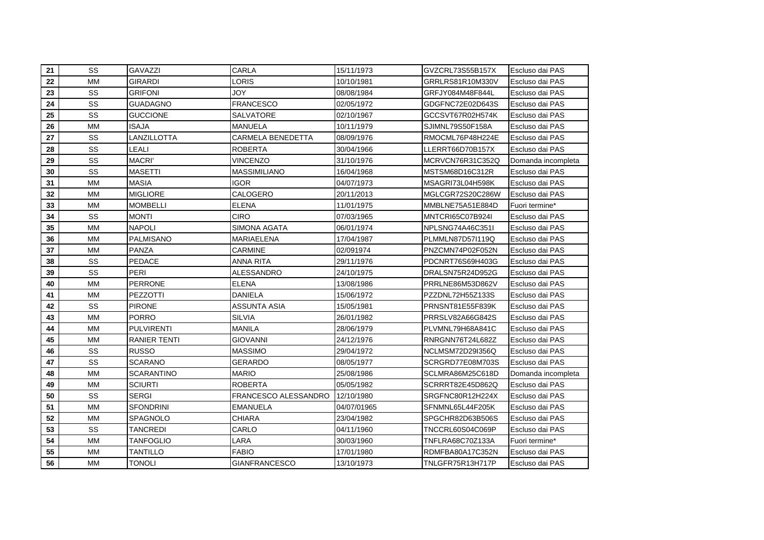| 21 | SS        | <b>GAVAZZI</b>      | <b>CARLA</b>         | 15/11/1973  | GVZCRL73S55B157X | Escluso dai PAS    |
|----|-----------|---------------------|----------------------|-------------|------------------|--------------------|
| 22 | MM        | <b>GIRARDI</b>      | LORIS                | 10/10/1981  | GRRLRS81R10M330V | Escluso dai PAS    |
| 23 | SS        | <b>GRIFONI</b>      | <b>JOY</b>           | 08/08/1984  | GRFJY084M48F844L | Escluso dai PAS    |
| 24 | SS        | <b>GUADAGNO</b>     | <b>FRANCESCO</b>     | 02/05/1972  | GDGFNC72E02D643S | Escluso dai PAS    |
| 25 | SS        | <b>GUCCIONE</b>     | SALVATORE            | 02/10/1967  | GCCSVT67R02H574K | Escluso dai PAS    |
| 26 | <b>MM</b> | <b>ISAJA</b>        | <b>MANUELA</b>       | 10/11/1979  | SJIMNL79S50F158A | Escluso dai PAS    |
| 27 | SS        | LANZILLOTTA         | CARMELA BENEDETTA    | 08/09/1976  | RMOCML76P48H224E | Escluso dai PAS    |
| 28 | SS        | LEALI               | <b>ROBERTA</b>       | 30/04/1966  | LLERRT66D70B157X | Escluso dai PAS    |
| 29 | SS        | <b>MACRI'</b>       | <b>VINCENZO</b>      | 31/10/1976  | MCRVCN76R31C352Q | Domanda incompleta |
| 30 | SS        | <b>MASETTI</b>      | MASSIMILIANO         | 16/04/1968  | MSTSM68D16C312R  | Escluso dai PAS    |
| 31 | <b>MM</b> | <b>MASIA</b>        | IGOR                 | 04/07/1973  | MSAGRI73L04H598K | Escluso dai PAS    |
| 32 | <b>MM</b> | <b>MIGLIORE</b>     | CALOGERO             | 20/11/2013  | MGLCGR72S20C286W | Escluso dai PAS    |
| 33 | MM        | <b>MOMBELLI</b>     | <b>ELENA</b>         | 11/01/1975  | MMBLNE75A51E884D | Fuori termine*     |
| 34 | SS        | <b>MONTI</b>        | <b>CIRO</b>          | 07/03/1965  | MNTCRI65C07B924I | Escluso dai PAS    |
| 35 | MM        | <b>NAPOLI</b>       | <b>SIMONA AGATA</b>  | 06/01/1974  | NPLSNG74A46C351I | Escluso dai PAS    |
| 36 | <b>MM</b> | <b>PALMISANO</b>    | <b>MARIAELENA</b>    | 17/04/1987  | PLMMLN87D57I119Q | Escluso dai PAS    |
| 37 | MM        | <b>PANZA</b>        | <b>CARMINE</b>       | 02/091974   | PNZCMN74P02F052N | Escluso dai PAS    |
| 38 | SS        | <b>PEDACE</b>       | <b>ANNA RITA</b>     | 29/11/1976  | PDCNRT76S69H403G | Escluso dai PAS    |
| 39 | SS        | PERI                | <b>ALESSANDRO</b>    | 24/10/1975  | DRALSN75R24D952G | Escluso dai PAS    |
| 40 | <b>MM</b> | <b>PERRONE</b>      | <b>ELENA</b>         | 13/08/1986  | PRRLNE86M53D862V | Escluso dai PAS    |
| 41 | MM        | PEZZOTTI            | <b>DANIELA</b>       | 15/06/1972  | PZZDNL72H55Z133S | Escluso dai PAS    |
| 42 | SS        | <b>PIRONE</b>       | ASSUNTA ASIA         | 15/05/1981  | PRNSNT81E55F839K | Escluso dai PAS    |
| 43 | <b>MM</b> | <b>PORRO</b>        | <b>SILVIA</b>        | 26/01/1982  | PRRSLV82A66G842S | Escluso dai PAS    |
| 44 | <b>MM</b> | <b>PULVIRENTI</b>   | MANILA               | 28/06/1979  | PLVMNL79H68A841C | Escluso dai PAS    |
| 45 | <b>MM</b> | <b>RANIER TENTI</b> | <b>GIOVANNI</b>      | 24/12/1976  | RNRGNN76T24L682Z | Escluso dai PAS    |
| 46 | SS        | <b>RUSSO</b>        | <b>MASSIMO</b>       | 29/04/1972  | NCLMSM72D29I356Q | Escluso dai PAS    |
| 47 | SS        | <b>SCARANO</b>      | <b>GERARDO</b>       | 08/05/1977  | SCRGRD77E08M703S | Escluso dai PAS    |
| 48 | <b>MM</b> | <b>SCARANTINO</b>   | MARIO                | 25/08/1986  | SCLMRA86M25C618D | Domanda incompleta |
| 49 | <b>MM</b> | <b>SCIURTI</b>      | <b>ROBERTA</b>       | 05/05/1982  | SCRRRT82E45D862Q | Escluso dai PAS    |
| 50 | SS        | SERGI               | FRANCESCO ALESSANDRO | 12/10/1980  | SRGFNC80R12H224X | Escluso dai PAS    |
| 51 | MM        | <b>SFONDRINI</b>    | <b>EMANUELA</b>      | 04/07/01965 | SFNMNL65L44F205K | Escluso dai PAS    |
| 52 | <b>MM</b> | SPAGNOLO            | CHIARA               | 23/04/1982  | SPGCHR82D63B506S | Escluso dai PAS    |
| 53 | SS        | TANCREDI            | CARLO                | 04/11/1960  | TNCCRL60S04C069P | Escluso dai PAS    |
| 54 | <b>MM</b> | <b>TANFOGLIO</b>    | LARA                 | 30/03/1960  | TNFLRA68C70Z133A | Fuori termine*     |
| 55 | <b>MM</b> | <b>TANTILLO</b>     | <b>FABIO</b>         | 17/01/1980  | RDMFBA80A17C352N | Escluso dai PAS    |
| 56 | МM        | <b>TONOLI</b>       | <b>GIANFRANCESCO</b> | 13/10/1973  | TNLGFR75R13H717P | Escluso dai PAS    |